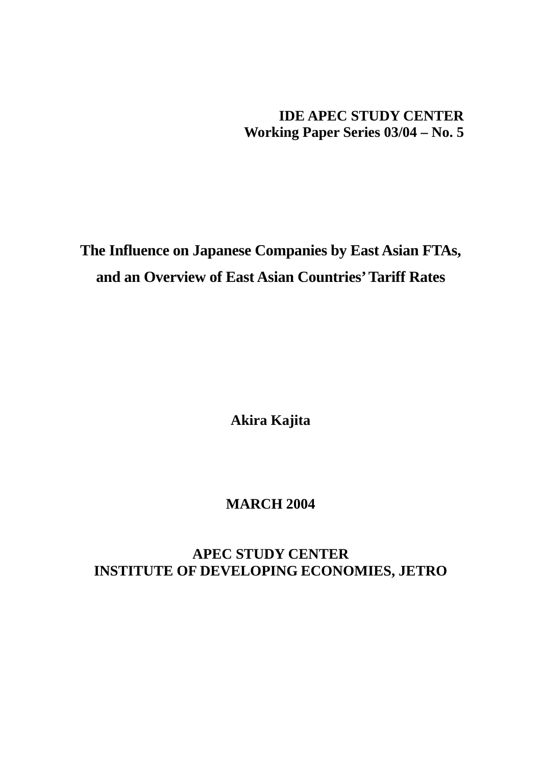## **IDE APEC STUDY CENTER Working Paper Series 03/04 – No. 5**

# **The Influence on Japanese Companies by East Asian FTAs, and an Overview of East Asian Countries' Tariff Rates**

**Akira Kajita** 

## **MARCH 2004**

## **APEC STUDY CENTER INSTITUTE OF DEVELOPING ECONOMIES, JETRO**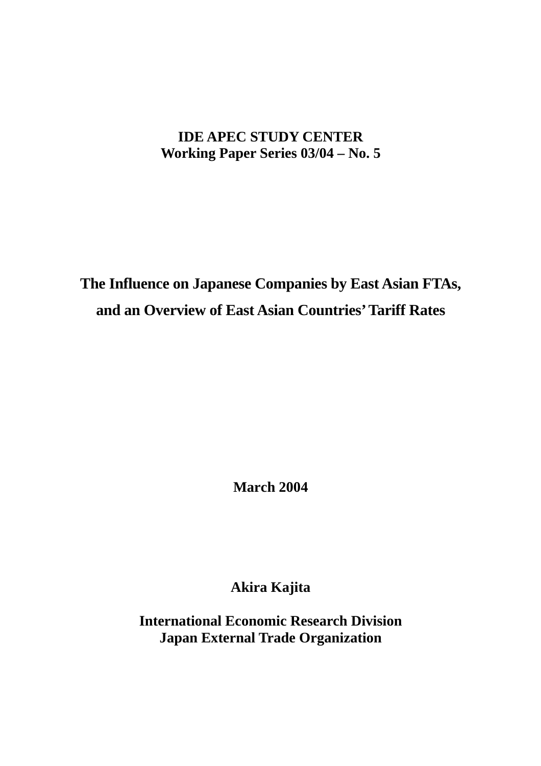## **IDE APEC STUDY CENTER Working Paper Series 03/04 – No. 5**

**The Influence on Japanese Companies by East Asian FTAs, and an Overview of East Asian Countries' Tariff Rates**

**March 2004** 

**Akira Kajita** 

**International Economic Research Division Japan External Trade Organization**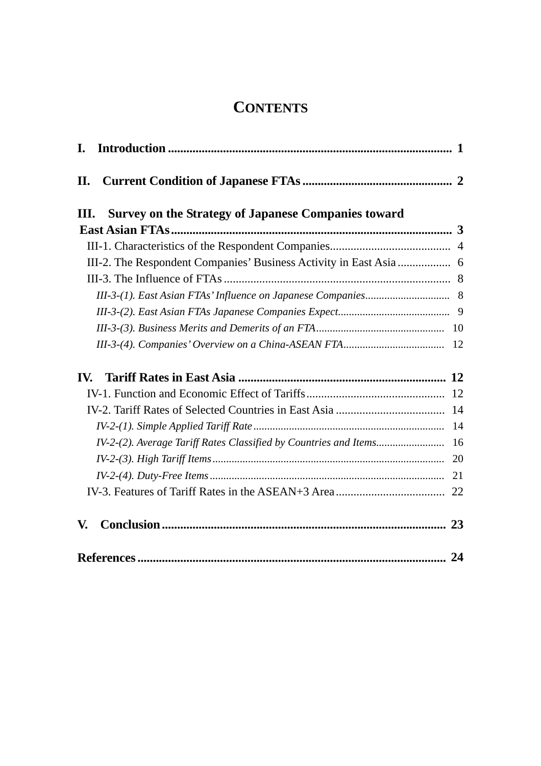## **CONTENTS**

| I.                                                                  |    |
|---------------------------------------------------------------------|----|
| II.                                                                 |    |
| <b>Survey on the Strategy of Japanese Companies toward</b><br>III.  |    |
|                                                                     |    |
|                                                                     |    |
| III-2. The Respondent Companies' Business Activity in East Asia  6  |    |
|                                                                     |    |
|                                                                     |    |
|                                                                     |    |
|                                                                     |    |
|                                                                     |    |
| $\mathbf{IV}$                                                       |    |
|                                                                     |    |
|                                                                     |    |
|                                                                     |    |
| IV-2-(2). Average Tariff Rates Classified by Countries and Items 16 |    |
|                                                                     | 20 |
|                                                                     | 21 |
|                                                                     |    |
| V.                                                                  |    |
|                                                                     | 24 |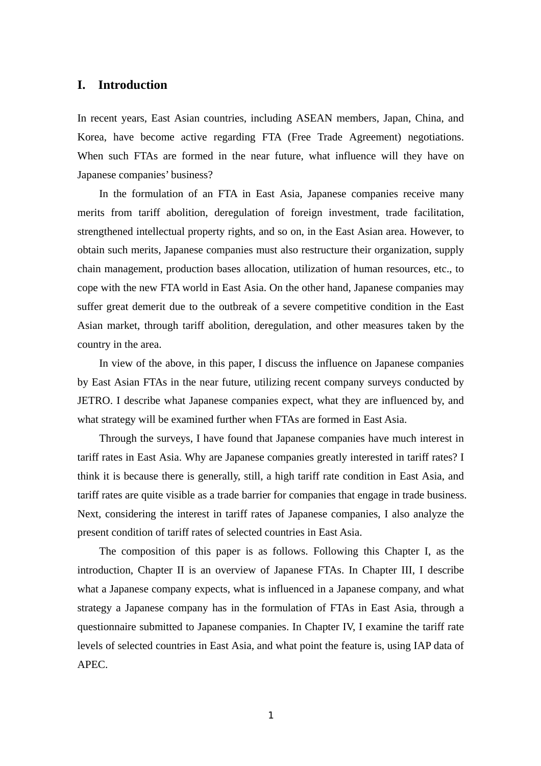## **I. Introduction**

In recent years, East Asian countries, including ASEAN members, Japan, China, and Korea, have become active regarding FTA (Free Trade Agreement) negotiations. When such FTAs are formed in the near future, what influence will they have on Japanese companies' business?

In the formulation of an FTA in East Asia, Japanese companies receive many merits from tariff abolition, deregulation of foreign investment, trade facilitation, strengthened intellectual property rights, and so on, in the East Asian area. However, to obtain such merits, Japanese companies must also restructure their organization, supply chain management, production bases allocation, utilization of human resources, etc., to cope with the new FTA world in East Asia. On the other hand, Japanese companies may suffer great demerit due to the outbreak of a severe competitive condition in the East Asian market, through tariff abolition, deregulation, and other measures taken by the country in the area.

In view of the above, in this paper, I discuss the influence on Japanese companies by East Asian FTAs in the near future, utilizing recent company surveys conducted by JETRO. I describe what Japanese companies expect, what they are influenced by, and what strategy will be examined further when FTAs are formed in East Asia.

Through the surveys, I have found that Japanese companies have much interest in tariff rates in East Asia. Why are Japanese companies greatly interested in tariff rates? I think it is because there is generally, still, a high tariff rate condition in East Asia, and tariff rates are quite visible as a trade barrier for companies that engage in trade business. Next, considering the interest in tariff rates of Japanese companies, I also analyze the present condition of tariff rates of selected countries in East Asia.

The composition of this paper is as follows. Following this Chapter I, as the introduction, Chapter II is an overview of Japanese FTAs. In Chapter III, I describe what a Japanese company expects, what is influenced in a Japanese company, and what strategy a Japanese company has in the formulation of FTAs in East Asia, through a questionnaire submitted to Japanese companies. In Chapter IV, I examine the tariff rate levels of selected countries in East Asia, and what point the feature is, using IAP data of APEC.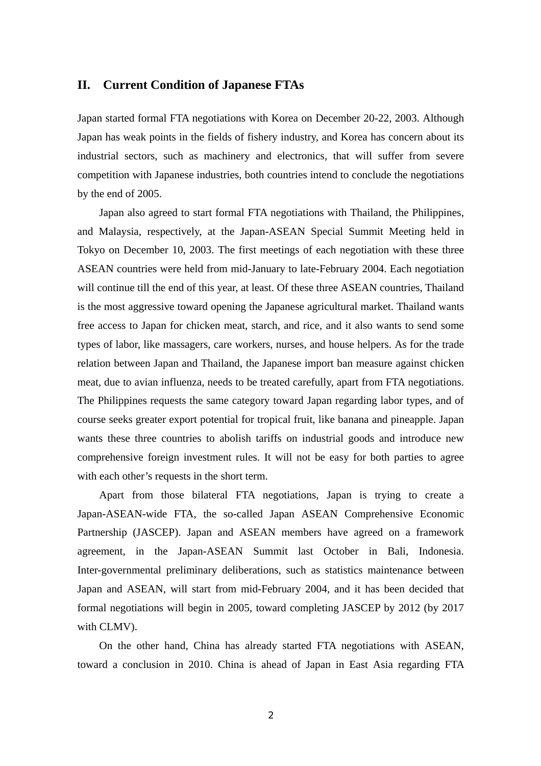## **II. Current Condition of Japanese FTAs**

Japan started formal FTA negotiations with Korea on December 20-22, 2003. Although Japan has weak points in the fields of fishery industry, and Korea has concern about its industrial sectors, such as machinery and electronics, that will suffer from severe competition with Japanese industries, both countries intend to conclude the negotiations by the end of 2005.

Japan also agreed to start formal FTA negotiations with Thailand, the Philippines, and Malaysia, respectively, at the Japan-ASEAN Special Summit Meeting held in Tokyo on December 10, 2003. The first meetings of each negotiation with these three ASEAN countries were held from mid-January to late-February 2004. Each negotiation will continue till the end of this year, at least. Of these three ASEAN countries, Thailand is the most aggressive toward opening the Japanese agricultural market. Thailand wants free access to Japan for chicken meat, starch, and rice, and it also wants to send some types of labor, like massagers, care workers, nurses, and house helpers. As for the trade relation between Japan and Thailand, the Japanese import ban measure against chicken meat, due to avian influenza, needs to be treated carefully, apart from FTA negotiations. The Philippines requests the same category toward Japan regarding labor types, and of course seeks greater export potential for tropical fruit, like banana and pineapple. Japan wants these three countries to abolish tariffs on industrial goods and introduce new comprehensive foreign investment rules. It will not be easy for both parties to agree with each other's requests in the short term.

Apart from those bilateral FTA negotiations, Japan is trying to create a Japan-ASEAN-wide FTA, the so-called Japan ASEAN Comprehensive Economic Partnership (JASCEP). Japan and ASEAN members have agreed on a framework agreement, in the Japan-ASEAN Summit last October in Bali, Indonesia. Inter-governmental preliminary deliberations, such as statistics maintenance between Japan and ASEAN, will start from mid-February 2004, and it has been decided that formal negotiations will begin in 2005, toward completing JASCEP by 2012 (by 2017 with CLMV).

On the other hand, China has already started FTA negotiations with ASEAN, toward a conclusion in 2010. China is ahead of Japan in East Asia regarding FTA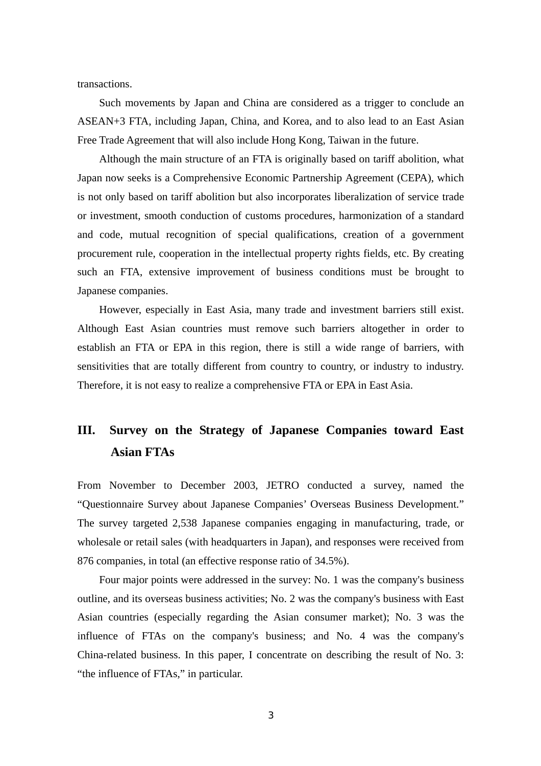transactions.

Such movements by Japan and China are considered as a trigger to conclude an ASEAN+3 FTA, including Japan, China, and Korea, and to also lead to an East Asian Free Trade Agreement that will also include Hong Kong, Taiwan in the future.

Although the main structure of an FTA is originally based on tariff abolition, what Japan now seeks is a Comprehensive Economic Partnership Agreement (CEPA), which is not only based on tariff abolition but also incorporates liberalization of service trade or investment, smooth conduction of customs procedures, harmonization of a standard and code, mutual recognition of special qualifications, creation of a government procurement rule, cooperation in the intellectual property rights fields, etc. By creating such an FTA, extensive improvement of business conditions must be brought to Japanese companies.

However, especially in East Asia, many trade and investment barriers still exist. Although East Asian countries must remove such barriers altogether in order to establish an FTA or EPA in this region, there is still a wide range of barriers, with sensitivities that are totally different from country to country, or industry to industry. Therefore, it is not easy to realize a comprehensive FTA or EPA in East Asia.

## **III. Survey on the Strategy of Japanese Companies toward East Asian FTAs**

From November to December 2003, JETRO conducted a survey, named the "Questionnaire Survey about Japanese Companies' Overseas Business Development." The survey targeted 2,538 Japanese companies engaging in manufacturing, trade, or wholesale or retail sales (with headquarters in Japan), and responses were received from 876 companies, in total (an effective response ratio of 34.5%).

Four major points were addressed in the survey: No. 1 was the company's business outline, and its overseas business activities; No. 2 was the company's business with East Asian countries (especially regarding the Asian consumer market); No. 3 was the influence of FTAs on the company's business; and No. 4 was the company's China-related business. In this paper, I concentrate on describing the result of No. 3: "the influence of FTAs," in particular.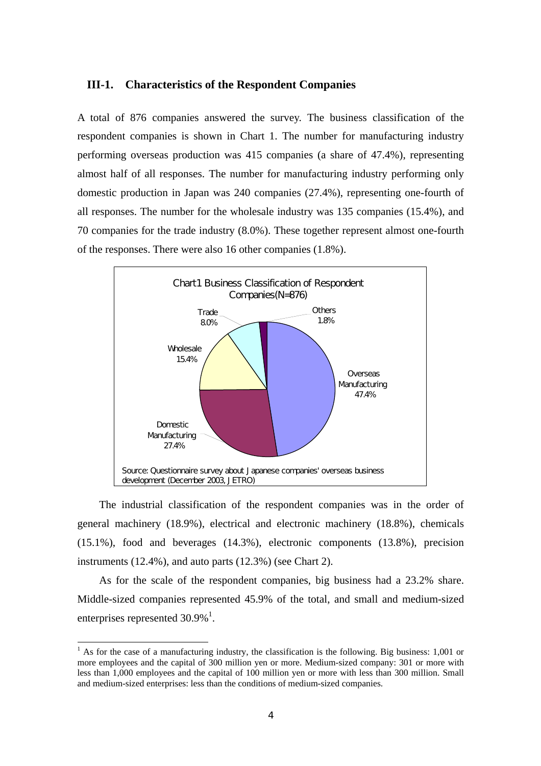## **III-1. Characteristics of the Respondent Companies**

A total of 876 companies answered the survey. The business classification of the respondent companies is shown in Chart 1. The number for manufacturing industry performing overseas production was 415 companies (a share of 47.4%), representing almost half of all responses. The number for manufacturing industry performing only domestic production in Japan was 240 companies (27.4%), representing one-fourth of all responses. The number for the wholesale industry was 135 companies (15.4%), and 70 companies for the trade industry (8.0%). These together represent almost one-fourth of the responses. There were also 16 other companies (1.8%).



The industrial classification of the respondent companies was in the order of general machinery (18.9%), electrical and electronic machinery (18.8%), chemicals (15.1%), food and beverages (14.3%), electronic components (13.8%), precision instruments (12.4%), and auto parts (12.3%) (see Chart 2).

As for the scale of the respondent companies, big business had a 23.2% share. Middle-sized companies represented 45.9% of the total, and small and medium-sized enterprises represented  $30.9\%$ <sup>1</sup>.

 $\overline{a}$ 

 $1$  As for the case of a manufacturing industry, the classification is the following. Big business: 1,001 or more employees and the capital of 300 million yen or more. Medium-sized company: 301 or more with less than 1,000 employees and the capital of 100 million yen or more with less than 300 million. Small and medium-sized enterprises: less than the conditions of medium-sized companies.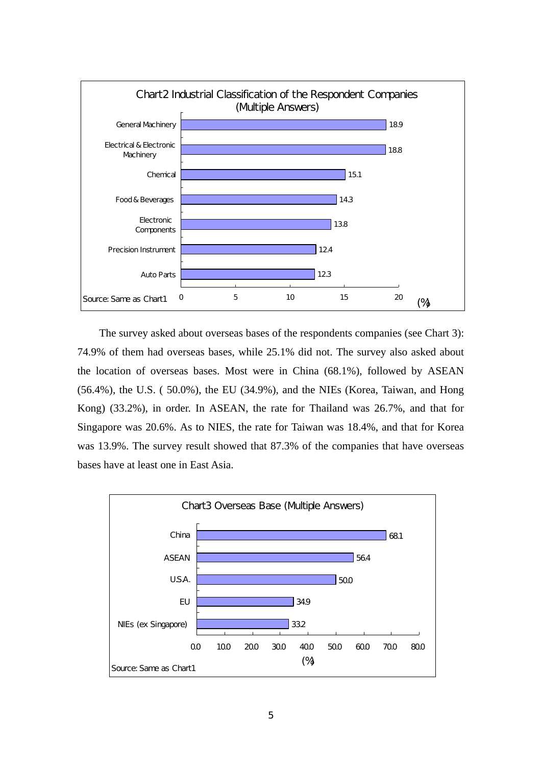

The survey asked about overseas bases of the respondents companies (see Chart 3): 74.9% of them had overseas bases, while 25.1% did not. The survey also asked about the location of overseas bases. Most were in China (68.1%), followed by ASEAN (56.4%), the U.S. ( 50.0%), the EU (34.9%), and the NIEs (Korea, Taiwan, and Hong Kong) (33.2%), in order. In ASEAN, the rate for Thailand was 26.7%, and that for Singapore was 20.6%. As to NIES, the rate for Taiwan was 18.4%, and that for Korea was 13.9%. The survey result showed that 87.3% of the companies that have overseas bases have at least one in East Asia.

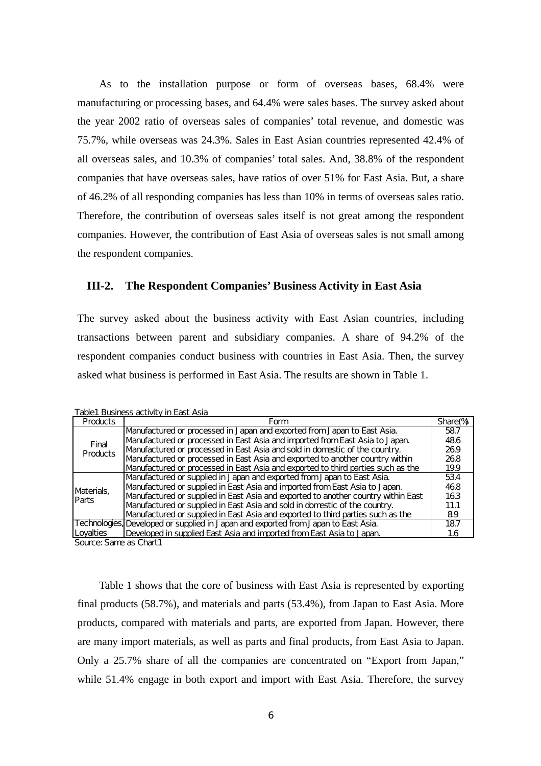As to the installation purpose or form of overseas bases, 68.4% were manufacturing or processing bases, and 64.4% were sales bases. The survey asked about the year 2002 ratio of overseas sales of companies' total revenue, and domestic was 75.7%, while overseas was 24.3%. Sales in East Asian countries represented 42.4% of all overseas sales, and 10.3% of companies' total sales. And, 38.8% of the respondent companies that have overseas sales, have ratios of over 51% for East Asia. But, a share of 46.2% of all responding companies has less than 10% in terms of overseas sales ratio. Therefore, the contribution of overseas sales itself is not great among the respondent companies. However, the contribution of East Asia of overseas sales is not small among the respondent companies.

## **III-2. The Respondent Companies' Business Activity in East Asia**

The survey asked about the business activity with East Asian countries, including transactions between parent and subsidiary companies. A share of 94.2% of the respondent companies conduct business with countries in East Asia. Then, the survey asked what business is performed in East Asia. The results are shown in Table 1.

Table1 Business activity in East Asia

| <b>Products</b>   | Form                                                                               | Share <sup>(%</sup> |
|-------------------|------------------------------------------------------------------------------------|---------------------|
|                   | Manufactured or processed in Japan and exported from Japan to East Asia.           | 587                 |
| Final             | Manufactured or processed in East Asia and imported from East Asia to Japan.       | 486                 |
| Products          | Manufactured or processed in East Asia and sold in domestic of the country.        | 269                 |
|                   | Manufactured or processed in East Asia and exported to another country within      | 268                 |
|                   | Manufactured or processed in East Asia and exported to third parties such as the   | 19.9                |
|                   | Manufactured or supplied in Japan and exported from Japan to East Asia.            | 534                 |
| Materials,        | Manufactured or supplied in East Asia and imported from East Asia to Japan.        | 468                 |
| <b>Parts</b>      | Manufactured or supplied in East Asia and exported to another country within East  | 163                 |
|                   | Manufactured or supplied in East Asia and sold in domestic of the country.         | 11.1                |
|                   | Manufactured or supplied in East Asia and exported to third parties such as the    | 89                  |
|                   | Technologies, Developed or supplied in Japan and exported from Japan to East Asia. | 187                 |
| <b>ILovalties</b> | Developed in supplied East Asia and imported from East Asia to Japan.              |                     |

Source: Same as Chart1

Table 1 shows that the core of business with East Asia is represented by exporting final products (58.7%), and materials and parts (53.4%), from Japan to East Asia. More products, compared with materials and parts, are exported from Japan. However, there are many import materials, as well as parts and final products, from East Asia to Japan. Only a 25.7% share of all the companies are concentrated on "Export from Japan," while 51.4% engage in both export and import with East Asia. Therefore, the survey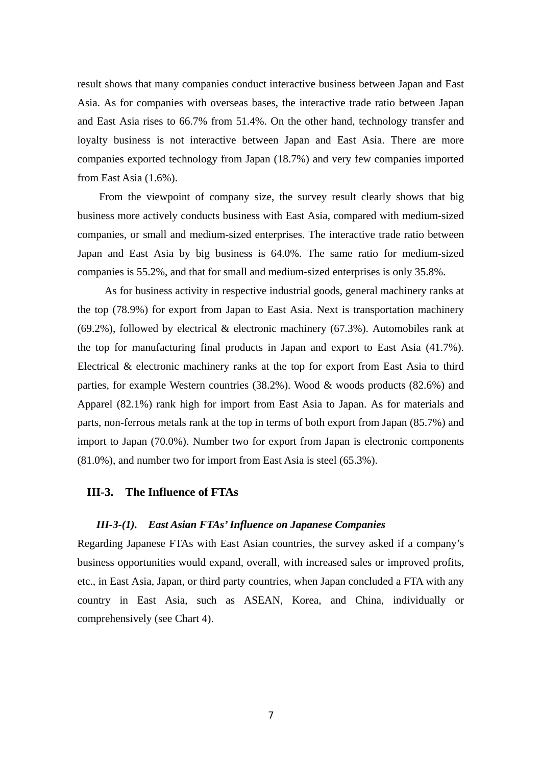result shows that many companies conduct interactive business between Japan and East Asia. As for companies with overseas bases, the interactive trade ratio between Japan and East Asia rises to 66.7% from 51.4%. On the other hand, technology transfer and loyalty business is not interactive between Japan and East Asia. There are more companies exported technology from Japan (18.7%) and very few companies imported from East Asia (1.6%).

From the viewpoint of company size, the survey result clearly shows that big business more actively conducts business with East Asia, compared with medium-sized companies, or small and medium-sized enterprises. The interactive trade ratio between Japan and East Asia by big business is 64.0%. The same ratio for medium-sized companies is 55.2%, and that for small and medium-sized enterprises is only 35.8%.

 As for business activity in respective industrial goods, general machinery ranks at the top (78.9%) for export from Japan to East Asia. Next is transportation machinery (69.2%), followed by electrical  $&$  electronic machinery (67.3%). Automobiles rank at the top for manufacturing final products in Japan and export to East Asia (41.7%). Electrical & electronic machinery ranks at the top for export from East Asia to third parties, for example Western countries (38.2%). Wood & woods products (82.6%) and Apparel (82.1%) rank high for import from East Asia to Japan. As for materials and parts, non-ferrous metals rank at the top in terms of both export from Japan (85.7%) and import to Japan (70.0%). Number two for export from Japan is electronic components (81.0%), and number two for import from East Asia is steel (65.3%).

## **III-3. The Influence of FTAs**

## *III-3-(1). East Asian FTAs' Influence on Japanese Companies*

Regarding Japanese FTAs with East Asian countries, the survey asked if a company's business opportunities would expand, overall, with increased sales or improved profits, etc., in East Asia, Japan, or third party countries, when Japan concluded a FTA with any country in East Asia, such as ASEAN, Korea, and China, individually or comprehensively (see Chart 4).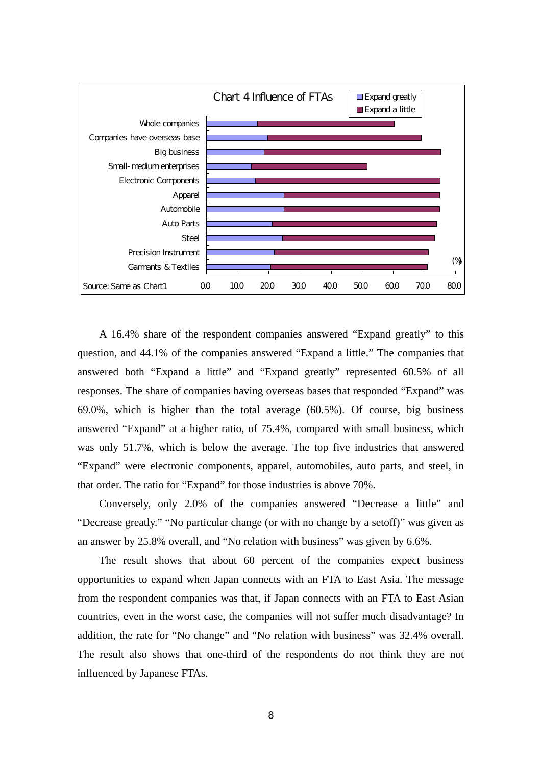

A 16.4% share of the respondent companies answered "Expand greatly" to this question, and 44.1% of the companies answered "Expand a little." The companies that answered both "Expand a little" and "Expand greatly" represented 60.5% of all responses. The share of companies having overseas bases that responded "Expand" was 69.0%, which is higher than the total average (60.5%). Of course, big business answered "Expand" at a higher ratio, of 75.4%, compared with small business, which was only 51.7%, which is below the average. The top five industries that answered "Expand" were electronic components, apparel, automobiles, auto parts, and steel, in that order. The ratio for "Expand" for those industries is above 70%.

Conversely, only 2.0% of the companies answered "Decrease a little" and "Decrease greatly." "No particular change (or with no change by a setoff)" was given as an answer by 25.8% overall, and "No relation with business" was given by 6.6%.

The result shows that about 60 percent of the companies expect business opportunities to expand when Japan connects with an FTA to East Asia. The message from the respondent companies was that, if Japan connects with an FTA to East Asian countries, even in the worst case, the companies will not suffer much disadvantage? In addition, the rate for "No change" and "No relation with business" was 32.4% overall. The result also shows that one-third of the respondents do not think they are not influenced by Japanese FTAs.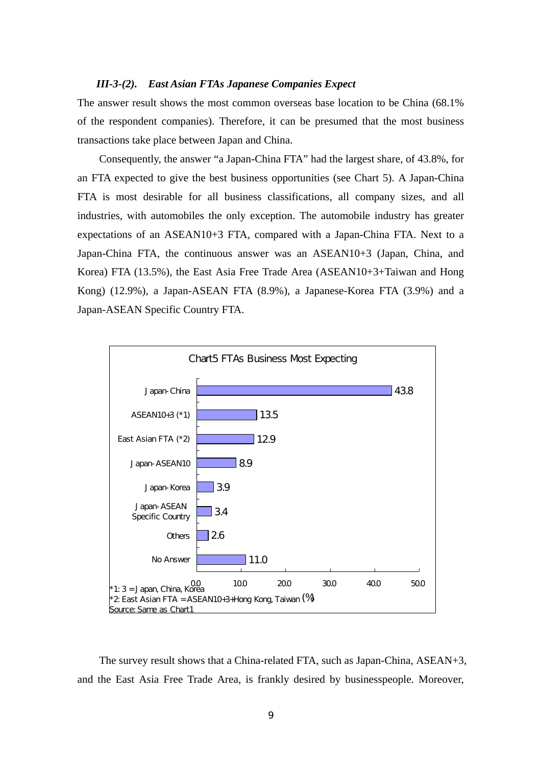### *III-3-(2). East Asian FTAs Japanese Companies Expect*

The answer result shows the most common overseas base location to be China (68.1% of the respondent companies). Therefore, it can be presumed that the most business transactions take place between Japan and China.

Consequently, the answer "a Japan-China FTA" had the largest share, of 43.8%, for an FTA expected to give the best business opportunities (see Chart 5). A Japan-China FTA is most desirable for all business classifications, all company sizes, and all industries, with automobiles the only exception. The automobile industry has greater expectations of an ASEAN10+3 FTA, compared with a Japan-China FTA. Next to a Japan-China FTA, the continuous answer was an ASEAN10+3 (Japan, China, and Korea) FTA (13.5%), the East Asia Free Trade Area (ASEAN10+3+Taiwan and Hong Kong) (12.9%), a Japan-ASEAN FTA (8.9%), a Japanese-Korea FTA (3.9%) and a Japan-ASEAN Specific Country FTA.



The survey result shows that a China-related FTA, such as Japan-China, ASEAN+3, and the East Asia Free Trade Area, is frankly desired by businesspeople. Moreover,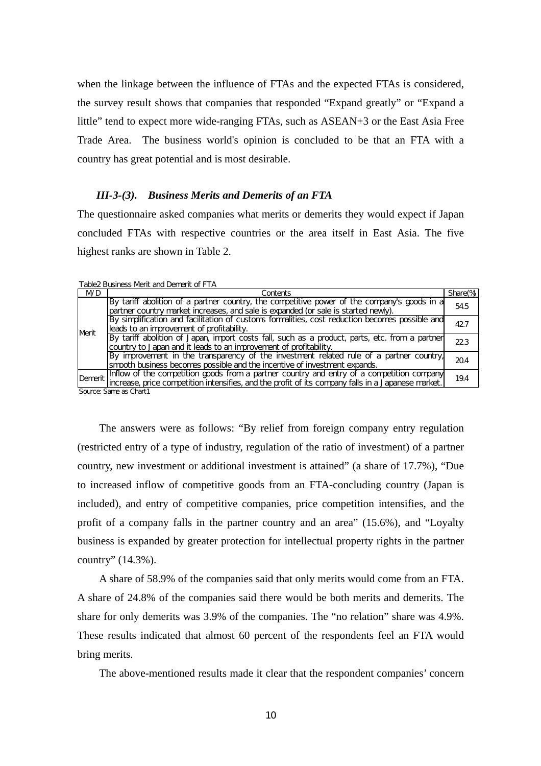when the linkage between the influence of FTAs and the expected FTAs is considered, the survey result shows that companies that responded "Expand greatly" or "Expand a little" tend to expect more wide-ranging FTAs, such as ASEAN+3 or the East Asia Free Trade Area. The business world's opinion is concluded to be that an FTA with a country has great potential and is most desirable.

## *III-3-(3). Business Merits and Demerits of an FTA*

The questionnaire asked companies what merits or demerits they would expect if Japan concluded FTAs with respective countries or the area itself in East Asia. The five highest ranks are shown in Table 2.

| Table2 Business Merit and Demerit of FTA |
|------------------------------------------|
|------------------------------------------|

| <b>MC</b>     | Contents                                                                                                                                                                                                 | Share(%) |  |  |  |  |  |  |
|---------------|----------------------------------------------------------------------------------------------------------------------------------------------------------------------------------------------------------|----------|--|--|--|--|--|--|
|               | By tariff abolition of a partner country, the competitive power of the company's goods in a<br>partner country market increases, and sale is expanded (or sale is started newly).                        | 54.5     |  |  |  |  |  |  |
| <b>IMerit</b> | By simplification and facilitation of customs formalities, cost reduction becomes possible and<br>leads to an improvement of profitability.                                                              |          |  |  |  |  |  |  |
|               | By tariff abolition of Japan, import costs fall, such as a product, parts, etc. from a partner<br>country to Japan and it leads to an improvement of profitability.                                      | 223      |  |  |  |  |  |  |
|               | By improvement in the transparency of the investment related rule of a partner country,<br>smooth business becomes possible and the incentive of investment expands.                                     | 204      |  |  |  |  |  |  |
|               | Inflow of the competition goods from a partner country and entry of a competition company<br>Demerit lincrease, price competition intensifies, and the profit of its company falls in a Japanese market. | 19.4     |  |  |  |  |  |  |
|               | Course, Conso on Charles                                                                                                                                                                                 |          |  |  |  |  |  |  |

Source: Same as Chart1

The answers were as follows: "By relief from foreign company entry regulation (restricted entry of a type of industry, regulation of the ratio of investment) of a partner country, new investment or additional investment is attained" (a share of 17.7%), "Due to increased inflow of competitive goods from an FTA-concluding country (Japan is included), and entry of competitive companies, price competition intensifies, and the profit of a company falls in the partner country and an area" (15.6%), and "Loyalty business is expanded by greater protection for intellectual property rights in the partner country" (14.3%).

A share of 58.9% of the companies said that only merits would come from an FTA. A share of 24.8% of the companies said there would be both merits and demerits. The share for only demerits was 3.9% of the companies. The "no relation" share was 4.9%. These results indicated that almost 60 percent of the respondents feel an FTA would bring merits.

The above-mentioned results made it clear that the respondent companies' concern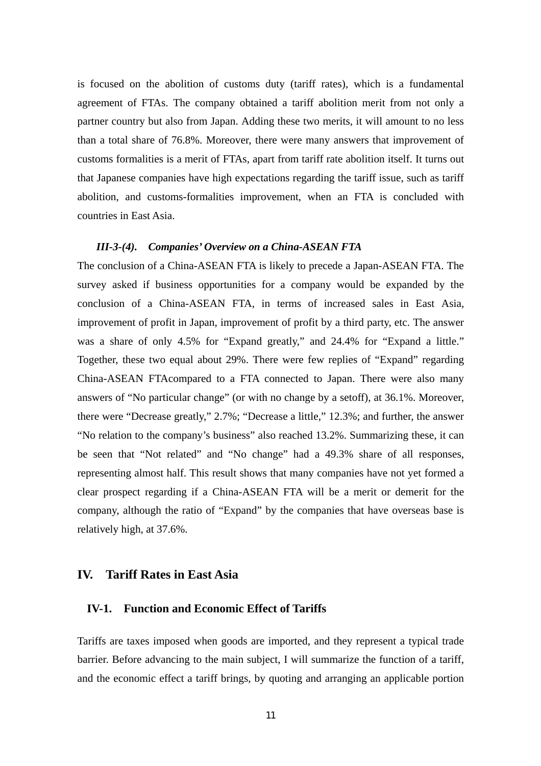is focused on the abolition of customs duty (tariff rates), which is a fundamental agreement of FTAs. The company obtained a tariff abolition merit from not only a partner country but also from Japan. Adding these two merits, it will amount to no less than a total share of 76.8%. Moreover, there were many answers that improvement of customs formalities is a merit of FTAs, apart from tariff rate abolition itself. It turns out that Japanese companies have high expectations regarding the tariff issue, such as tariff abolition, and customs-formalities improvement, when an FTA is concluded with countries in East Asia.

## *III-3-(4). Companies' Overview on a China-ASEAN FTA*

The conclusion of a China-ASEAN FTA is likely to precede a Japan-ASEAN FTA. The survey asked if business opportunities for a company would be expanded by the conclusion of a China-ASEAN FTA, in terms of increased sales in East Asia, improvement of profit in Japan, improvement of profit by a third party, etc. The answer was a share of only 4.5% for "Expand greatly," and 24.4% for "Expand a little." Together, these two equal about 29%. There were few replies of "Expand" regarding China-ASEAN FTAcompared to a FTA connected to Japan. There were also many answers of "No particular change" (or with no change by a setoff), at 36.1%. Moreover, there were "Decrease greatly," 2.7%; "Decrease a little," 12.3%; and further, the answer "No relation to the company's business" also reached 13.2%. Summarizing these, it can be seen that "Not related" and "No change" had a 49.3% share of all responses, representing almost half. This result shows that many companies have not yet formed a clear prospect regarding if a China-ASEAN FTA will be a merit or demerit for the company, although the ratio of "Expand" by the companies that have overseas base is relatively high, at 37.6%.

## **IV. Tariff Rates in East Asia**

## **IV-1. Function and Economic Effect of Tariffs**

Tariffs are taxes imposed when goods are imported, and they represent a typical trade barrier. Before advancing to the main subject, I will summarize the function of a tariff, and the economic effect a tariff brings, by quoting and arranging an applicable portion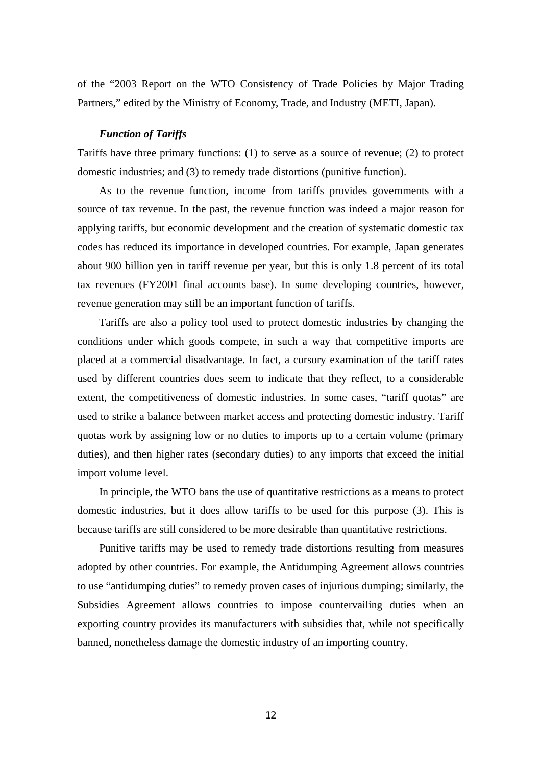of the "2003 Report on the WTO Consistency of Trade Policies by Major Trading Partners," edited by the Ministry of Economy, Trade, and Industry (METI, Japan).

## *Function of Tariffs*

Tariffs have three primary functions: (1) to serve as a source of revenue; (2) to protect domestic industries; and (3) to remedy trade distortions (punitive function).

As to the revenue function, income from tariffs provides governments with a source of tax revenue. In the past, the revenue function was indeed a major reason for applying tariffs, but economic development and the creation of systematic domestic tax codes has reduced its importance in developed countries. For example, Japan generates about 900 billion yen in tariff revenue per year, but this is only 1.8 percent of its total tax revenues (FY2001 final accounts base). In some developing countries, however, revenue generation may still be an important function of tariffs.

Tariffs are also a policy tool used to protect domestic industries by changing the conditions under which goods compete, in such a way that competitive imports are placed at a commercial disadvantage. In fact, a cursory examination of the tariff rates used by different countries does seem to indicate that they reflect, to a considerable extent, the competitiveness of domestic industries. In some cases, "tariff quotas" are used to strike a balance between market access and protecting domestic industry. Tariff quotas work by assigning low or no duties to imports up to a certain volume (primary duties), and then higher rates (secondary duties) to any imports that exceed the initial import volume level.

In principle, the WTO bans the use of quantitative restrictions as a means to protect domestic industries, but it does allow tariffs to be used for this purpose (3). This is because tariffs are still considered to be more desirable than quantitative restrictions.

Punitive tariffs may be used to remedy trade distortions resulting from measures adopted by other countries. For example, the Antidumping Agreement allows countries to use "antidumping duties" to remedy proven cases of injurious dumping; similarly, the Subsidies Agreement allows countries to impose countervailing duties when an exporting country provides its manufacturers with subsidies that, while not specifically banned, nonetheless damage the domestic industry of an importing country.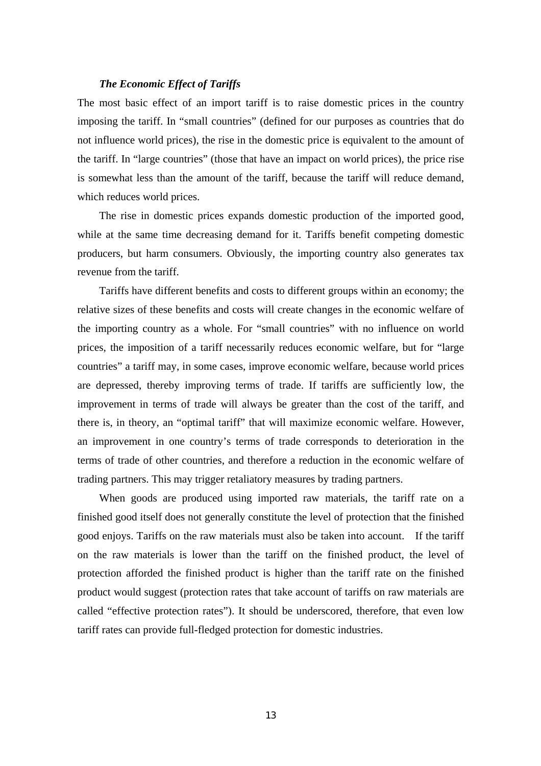## *The Economic Effect of Tariffs*

The most basic effect of an import tariff is to raise domestic prices in the country imposing the tariff. In "small countries" (defined for our purposes as countries that do not influence world prices), the rise in the domestic price is equivalent to the amount of the tariff. In "large countries" (those that have an impact on world prices), the price rise is somewhat less than the amount of the tariff, because the tariff will reduce demand, which reduces world prices.

The rise in domestic prices expands domestic production of the imported good, while at the same time decreasing demand for it. Tariffs benefit competing domestic producers, but harm consumers. Obviously, the importing country also generates tax revenue from the tariff.

Tariffs have different benefits and costs to different groups within an economy; the relative sizes of these benefits and costs will create changes in the economic welfare of the importing country as a whole. For "small countries" with no influence on world prices, the imposition of a tariff necessarily reduces economic welfare, but for "large countries" a tariff may, in some cases, improve economic welfare, because world prices are depressed, thereby improving terms of trade. If tariffs are sufficiently low, the improvement in terms of trade will always be greater than the cost of the tariff, and there is, in theory, an "optimal tariff" that will maximize economic welfare. However, an improvement in one country's terms of trade corresponds to deterioration in the terms of trade of other countries, and therefore a reduction in the economic welfare of trading partners. This may trigger retaliatory measures by trading partners.

When goods are produced using imported raw materials, the tariff rate on a finished good itself does not generally constitute the level of protection that the finished good enjoys. Tariffs on the raw materials must also be taken into account. If the tariff on the raw materials is lower than the tariff on the finished product, the level of protection afforded the finished product is higher than the tariff rate on the finished product would suggest (protection rates that take account of tariffs on raw materials are called "effective protection rates"). It should be underscored, therefore, that even low tariff rates can provide full-fledged protection for domestic industries.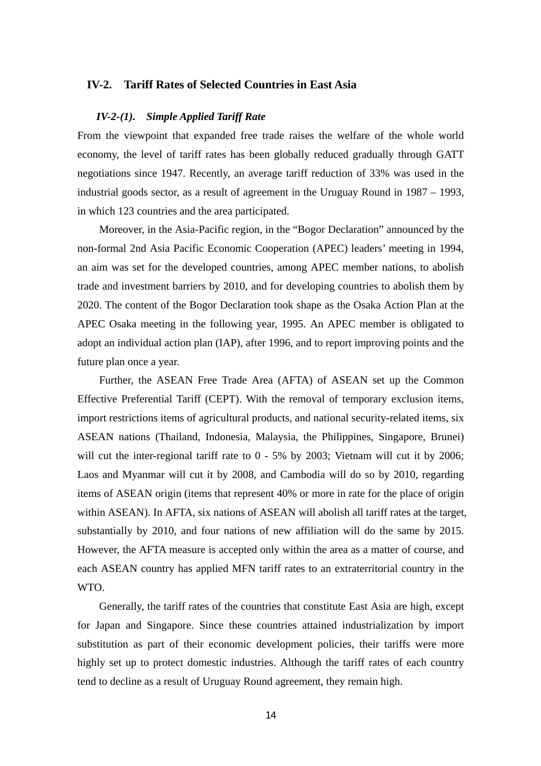## **IV-2. Tariff Rates of Selected Countries in East Asia**

## *IV-2-(1). Simple Applied Tariff Rate*

From the viewpoint that expanded free trade raises the welfare of the whole world economy, the level of tariff rates has been globally reduced gradually through GATT negotiations since 1947. Recently, an average tariff reduction of 33% was used in the industrial goods sector, as a result of agreement in the Uruguay Round in 1987 – 1993, in which 123 countries and the area participated.

Moreover, in the Asia-Pacific region, in the "Bogor Declaration" announced by the non-formal 2nd Asia Pacific Economic Cooperation (APEC) leaders' meeting in 1994, an aim was set for the developed countries, among APEC member nations, to abolish trade and investment barriers by 2010, and for developing countries to abolish them by 2020. The content of the Bogor Declaration took shape as the Osaka Action Plan at the APEC Osaka meeting in the following year, 1995. An APEC member is obligated to adopt an individual action plan (IAP), after 1996, and to report improving points and the future plan once a year.

Further, the ASEAN Free Trade Area (AFTA) of ASEAN set up the Common Effective Preferential Tariff (CEPT). With the removal of temporary exclusion items, import restrictions items of agricultural products, and national security-related items, six ASEAN nations (Thailand, Indonesia, Malaysia, the Philippines, Singapore, Brunei) will cut the inter-regional tariff rate to  $0 - 5\%$  by 2003; Vietnam will cut it by 2006; Laos and Myanmar will cut it by 2008, and Cambodia will do so by 2010, regarding items of ASEAN origin (items that represent 40% or more in rate for the place of origin within ASEAN). In AFTA, six nations of ASEAN will abolish all tariff rates at the target, substantially by 2010, and four nations of new affiliation will do the same by 2015. However, the AFTA measure is accepted only within the area as a matter of course, and each ASEAN country has applied MFN tariff rates to an extraterritorial country in the WTO.

Generally, the tariff rates of the countries that constitute East Asia are high, except for Japan and Singapore. Since these countries attained industrialization by import substitution as part of their economic development policies, their tariffs were more highly set up to protect domestic industries. Although the tariff rates of each country tend to decline as a result of Uruguay Round agreement, they remain high.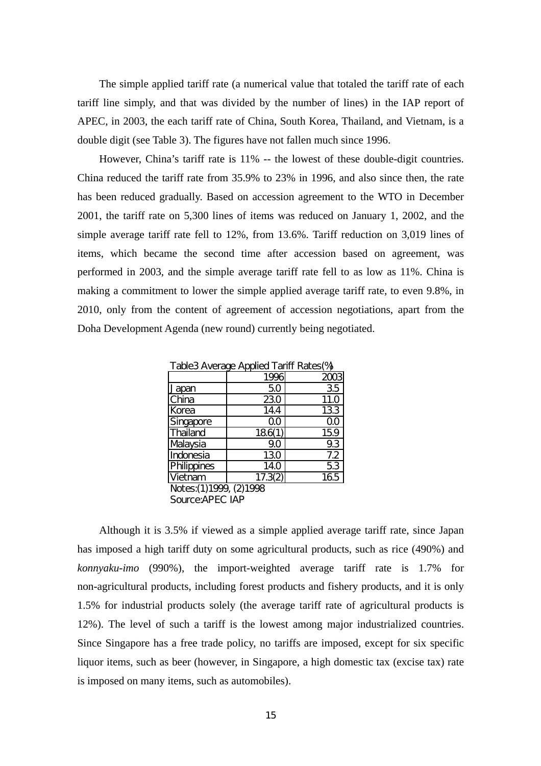The simple applied tariff rate (a numerical value that totaled the tariff rate of each tariff line simply, and that was divided by the number of lines) in the IAP report of APEC, in 2003, the each tariff rate of China, South Korea, Thailand, and Vietnam, is a double digit (see Table 3). The figures have not fallen much since 1996.

However, China's tariff rate is 11% -- the lowest of these double-digit countries. China reduced the tariff rate from 35.9% to 23% in 1996, and also since then, the rate has been reduced gradually. Based on accession agreement to the WTO in December 2001, the tariff rate on 5,300 lines of items was reduced on January 1, 2002, and the simple average tariff rate fell to 12%, from 13.6%. Tariff reduction on 3,019 lines of items, which became the second time after accession based on agreement, was performed in 2003, and the simple average tariff rate fell to as low as 11%. China is making a commitment to lower the simple applied average tariff rate, to even 9.8%, in 2010, only from the content of agreement of accession negotiations, apart from the Doha Development Agenda (new round) currently being negotiated.

Table3 Average Applied Tariff Rates(%)

|                           | 1996    |             |
|---------------------------|---------|-------------|
| Japan                     | 50      | 35          |
| China                     | 230     | <b>11.0</b> |
| Korea                     | 14.4    | 133         |
| Singapore                 | QΟ      | QO          |
| Thailand                  | 186(1)  | 159         |
| Malaysia                  | 90      | 9.3         |
| Indonesia                 | 130     | 7.2         |
| Philippines               | 14.0    | 53          |
| Vietnam                   | 17.3(2) | 165         |
| Notes: (1) 1999, (2) 1998 |         |             |
| Source: APEC IAP          |         |             |

Although it is 3.5% if viewed as a simple applied average tariff rate, since Japan has i mposed a high tariff duty on some agricultural products, such as rice (490%) and *konnyaku-imo* (990%), the import-weighted average tariff rate is 1.7% for non-agricultural products, including forest products and fishery products, and it is only 1.5% for industrial products solely (the average tariff rate of agricultural products is 12%). The level of such a tariff is the lowest among major industrialized countries. Since Singapore has a free trade policy, no tariffs are imposed, except for six specific liquor items, such as beer (however, in Singapore, a high domestic tax (excise tax) rate is imposed on many items, such as automobiles).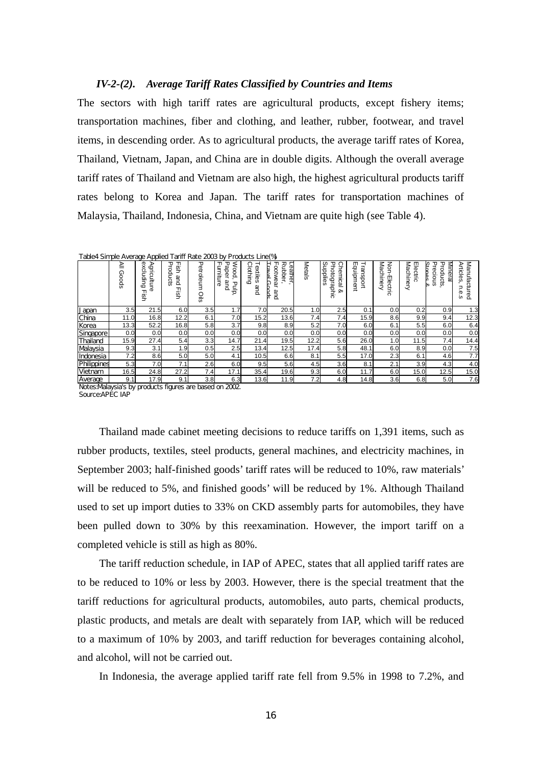### *IV-2-(2). Average Tariff Rates Classified by Countries and Items*

The sectors with high tariff rates are agricultural products, except fishery items; transportation machines, fiber and clothing, and leather, rubber, footwear, and travel items, in descending order. As to agricultural products, the average tariff rates of Korea, Thailand, Vietnam, Japan, and China are in double digits. Although the overall average tariff rates of Thailand and Vietnam are also high, the highest agricultural products tariff rates belong to Korea and Japan. The tariff rates for transportation machines of Malaysia, Thailand, Indonesia, China, and Vietnam are quite high (see Table 4).

|  |  |  | Table4 Simple Average Applied Tariff Rate 2003 by Products Line(%) |
|--|--|--|--------------------------------------------------------------------|
|  |  |  | PERFIHRO ISTEL TO ITTLE I CALL THAT                                |

|                | ≧<br>ດ<br>spoo | æ<br>⋗<br>xcludin<br><b>griculture</b><br>$\circ$<br>Ф<br>gi<br>9 | ᠊ᠣ<br>ᆩ<br>gi<br>9<br>roducts<br>and<br>ᆩ<br>g:<br>9 | ᠊ᠣ<br>etrole<br>Š<br>Oils | ᆩ<br>᠊ᠣ<br>≲<br>umitu<br>aper<br>ood,<br>and<br>බ<br><b>Palp</b> | ౧<br>extiles<br>jothin<br>$\Omega$<br>and | Rubbe<br>Leather<br>ᆩ<br>H<br><b>Favel</b><br>ootw<br>ea<br>÷<br>and | ⋜<br>etals | ◯<br>ဖ<br>᠊ᠣ<br>seilqqui<br>hemical<br>hotographic<br><b>Qo</b> | m<br>⊣<br>ransport<br><u>ق</u><br>ਭੂ<br>eut | Non-<br>id <sub>o</sub><br>믕<br>Φ<br>ctric<br>コ | Electric<br>⋜<br>achinery | Minera<br>᠊ᠣ<br>Stanas<br>᠊ᠣ<br>recious<br>roducts<br>⊵ | ⋜<br>Articles<br>lanufa<br>icture<br>Φ<br>ò<br>ö |
|----------------|----------------|-------------------------------------------------------------------|------------------------------------------------------|---------------------------|------------------------------------------------------------------|-------------------------------------------|----------------------------------------------------------------------|------------|-----------------------------------------------------------------|---------------------------------------------|-------------------------------------------------|---------------------------|---------------------------------------------------------|--------------------------------------------------|
| Japan          | 3.5            | 21.5                                                              | 6.0                                                  | 3.5                       | 1.7                                                              | 7.0                                       | 20.5                                                                 | 1.0        | 2.5                                                             | 0.1                                         | 0.0                                             | 0.2                       | 0.9                                                     | 1.3                                              |
| China          | 11.0           | 16.8                                                              | 12.2                                                 | 6.1                       | 7.0                                                              | 15.2                                      | 13.6                                                                 | 7.4        | 7.4                                                             | 15.9                                        | 8.6                                             | 9.9                       | 9.4                                                     | 12.3                                             |
| Korea          | 13.3           | 52.2                                                              | 16.8                                                 | 5.8                       | 3.7                                                              | 9.8                                       | 8.9                                                                  | 5.2        | 7.0                                                             | 6.0                                         | 6.1                                             | 5.5                       | 6.0                                                     | 6.4                                              |
| Singapore      | 0.0            | 0.0                                                               | 0.0                                                  | 0.0                       | 0.0                                                              | 0.0                                       | 0.0                                                                  | 0.0        | 0.0                                                             | 0.0                                         | 0.0                                             | 0.0                       | 0.0                                                     | 0.0                                              |
| Thailand       | 15.9           | 27.4                                                              | 5.4                                                  | 3.3                       | 14.7                                                             | 21.4                                      | 19.5                                                                 | 12.2       | 5.6                                                             | 26.0                                        | 1.0                                             | 11.5                      | 7.4                                                     | 14.4                                             |
| Malaysia       | 9.3            | 3.1                                                               | 1.9                                                  | 0.5                       | 2.5                                                              | 13.4                                      | 12.5                                                                 | 17.4       | 5.8                                                             | 48.1                                        | 6.0                                             | 8.9                       | 0.0                                                     | 7.5                                              |
| Indonesia      | 7.2            | 8.6                                                               | 5.0                                                  | 5.0                       | 4.1                                                              | 10.5                                      | 6.6                                                                  | 8.1        | 5.5                                                             | 17.0                                        | 2.3                                             | 6.1                       | 4.6                                                     | 7.7                                              |
| Philippines    | 5.3            | 7.0                                                               | 7.1                                                  | 2.6                       | 6.0                                                              | 9.5                                       | 5.6                                                                  | 4.5        | 3.6                                                             | 8.1                                         | 2.1                                             | 3.9                       | 4.3                                                     | 4.0                                              |
| Vietnam        | 16.5           | 24.8                                                              | 27.2                                                 | 7.4                       | 17.1                                                             | 35.4                                      | 19.6                                                                 | 9.3        | 6.0                                                             | 11.7                                        | 6.0                                             | 15.0                      | 12.5                                                    | 15.0                                             |
| <b>Average</b> | 9.1            | 17.9                                                              | 9.1                                                  | 3.8                       | 6.3                                                              | 13.6                                      | 11.9                                                                 | 7.2        | 4.8                                                             | 14.8                                        | 3.6                                             | 6.8                       | 5.0                                                     | 7.6                                              |

Notes:Malaysia's by products figures are based on 2002. Source:APEC IAP

Thailand made cabinet meeting decisions to reduce tariffs on 1,391 items, such as rubb er products, textiles, steel products, general machines, and electricity machines, in September 2003; half-finished goods' tariff rates will be reduced to 10%, raw materials' will be reduced to 5%, and finished goods' will be reduced by 1%. Although Thailand used to set up import duties to 33% on CKD assembly parts for automobiles, they have been pulled down to 30% by this reexamination. However, the import tariff on a completed vehicle is still as high as 80%.

The tariff reduction schedule, in IAP of APEC, states that all applied tariff rates are to be reduced to 10% or less by 2003. However, there is the special treatment that the tariff reductions for agricultural products, automobiles, auto parts, chemical products, plastic products, and metals are dealt with separately from IAP, which will be reduced to a maximum of 10% by 2003, and tariff reduction for beverages containing alcohol, and alcohol, will not be carried out.

In Indonesia, the average applied tariff rate fell from 9.5% in 1998 to 7.2%, and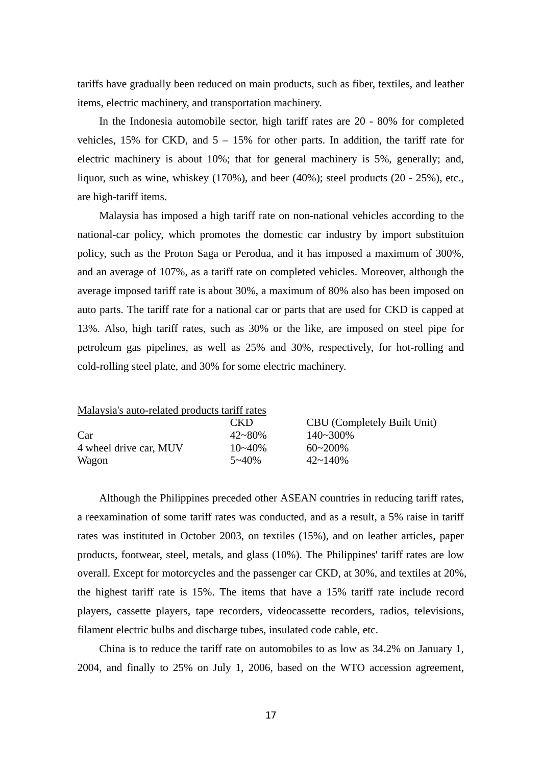tariff s have gradually been reduced on main products, such as fiber, textiles, and leather items, electric machinery, and transportation machinery.

In the Indonesia automobile sector, high tariff rates are 20 - 80% for completed vehicles,  $15\%$  for CKD, and  $5 - 15\%$  for other parts. In addition, the tariff rate for electric machinery is about 10%; that for general machinery is 5%, generally; and, liquor, such as wine, whiskey (170%), and beer (40%); steel products (20 - 25%), etc., are high-tariff items.

Malaysia has imposed a high tariff rate on non-national vehicles according to the natio nal-car policy, which promotes the domestic car industry by import substituion policy, such as the Proton Saga or Perodua, and it has imposed a maximum of 300%, and an average of 107%, as a tariff rate on completed vehicles. Moreover, although the average imposed tariff rate is about 30%, a maximum of 80% also has been imposed on auto parts. The tariff rate for a national car or parts that are used for CKD is capped at 13%. Also, high tariff rates, such as 30% or the like, are imposed on steel pipe for petroleum gas pipelines, as well as 25% and 30%, respectively, for hot-rolling and cold-rolling steel plate, and 30% for some electric machinery.

| Malaysia's auto-related products tariff rates |             |                                    |
|-----------------------------------------------|-------------|------------------------------------|
|                                               | CKD         | <b>CBU</b> (Completely Built Unit) |
| Car                                           | $42 - 80%$  | 140~300%                           |
| 4 wheel drive car, MUV                        | $10 - 40\%$ | $60 - 200\%$                       |
| Wagon                                         | $5 - 40%$   | $42 \sim 140\%$                    |

Although the Philippines preceded other ASEAN countries in reducing tariff rates, a ree xamination of some tariff rates was conducted, and as a result, a 5% raise in tariff rates was instituted in October 2003, on textiles (15%), and on leather articles, paper products, footwear, steel, metals, and glass (10%). The Philippines' tariff rates are low overall. Except for motorcycles and the passenger car CKD, at 30%, and textiles at 20%, the highest tariff rate is 15%. The items that have a 15% tariff rate include record players, cassette players, tape recorders, videocassette recorders, radios, televisions, filament electric bulbs and discharge tubes, insulated code cable, etc.

China is to reduce the tariff rate on automobiles to as low as  $34.2\%$  on January 1, 2004 , and finally to 25% on July 1, 2006, based on the WTO accession agreement,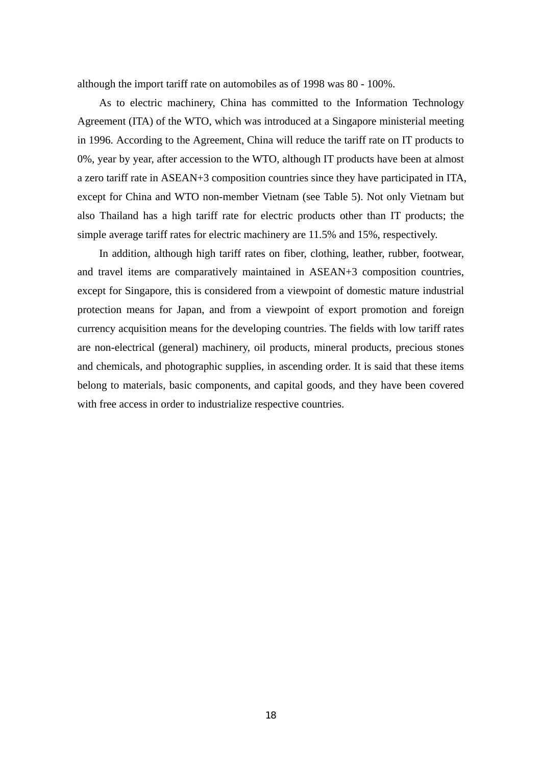although the import tariff rate on automobiles as of 1998 was 80 - 100%.

As to electric machinery, China has committed to the Information Technology Agre ement (ITA) of the WTO, which was introduced at a Singapore ministerial meeting in 1996. According to the Agreement, China will reduce the tariff rate on IT products to 0%, year by year, after accession to the WTO, although IT products have been at almost a zero tariff rate in ASEAN+3 composition countries since they have participated in ITA, except for China and WTO non-member Vietnam (see Table 5). Not only Vietnam but also Thailand has a high tariff rate for electric products other than IT products; the simple average tariff rates for electric machinery are 11.5% and 15%, respectively.

In addition, although high tariff rates on fiber, clothing, leather, rubber, footwear, and travel items are comparatively maintained in ASEAN+3 composition countries, except for Singapore, this is considered from a viewpoint of domestic mature industrial protection means for Japan, and from a viewpoint of export promotion and foreign currency acquisition means for the developing countries. The fields with low tariff rates are non-electrical (general) machinery, oil products, mineral products, precious stones and chemicals, and photographic supplies, in ascending order. It is said that these items belong to materials, basic components, and capital goods, and they have been covered with free access in order to industrialize respective countries.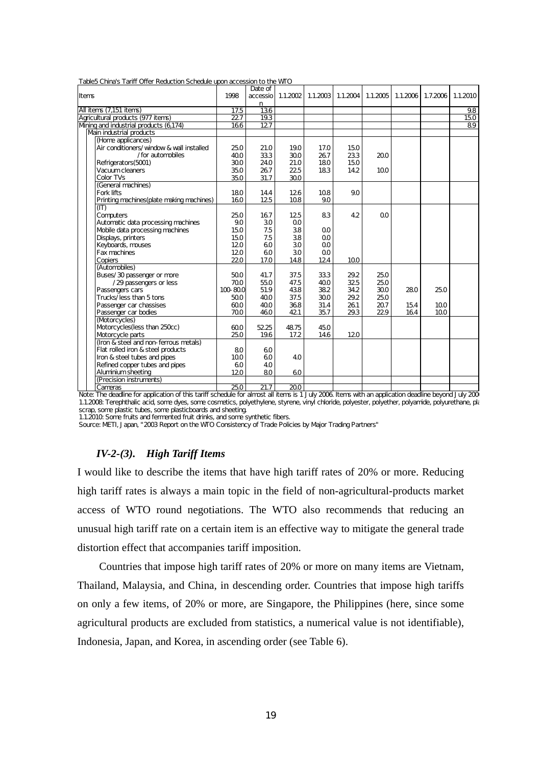| Items |                                           | 1998             | Date of |      |                | accessio 1.1.2002 1.1.2003 1.1.2004 1.1.2005 |                | 1.1.2006 | 1.7.2006 | 1.1.2010 |
|-------|-------------------------------------------|------------------|---------|------|----------------|----------------------------------------------|----------------|----------|----------|----------|
|       |                                           |                  | n       |      |                |                                              |                |          |          |          |
|       | All items (7,151 items)                   | 17.5             | 136     |      |                |                                              |                |          |          | 9.8      |
|       | Agricultural products (977 items)         | $\overline{227}$ | 19.3    |      |                |                                              |                |          |          | 150      |
|       | Mning and industrial products (6174)      | 166              | 127     |      |                |                                              |                |          |          | 89       |
|       | Main industrial products                  |                  |         |      |                |                                              |                |          |          |          |
|       | (Home applicances)                        |                  |         |      |                |                                              |                |          |          |          |
|       | Air conditioners/window & wall installed  | 25.0             | 21.0    | 190  | 17.0           | 15.0                                         |                |          |          |          |
|       | /for automobiles                          | 400              | 333     | 300  | 267            | 233                                          | 200            |          |          |          |
|       | Refrigerators(5001)                       | 300              | 24.0    | 21.0 | 180            | 15.0                                         |                |          |          |          |
|       | Vacuum cleaners                           | 35.0             | 267     | 225  | 183            | 14.2                                         | 100            |          |          |          |
|       | Color TVs                                 | 35.0             | 31.7    | 300  |                |                                              |                |          |          |          |
|       | (General machines)                        |                  |         |      |                |                                              |                |          |          |          |
|       | Fork lifts                                | 180              | 14.4    | 126  | 108            | 9.0                                          |                |          |          |          |
|       | Printing machines (plate making machines) | 160              | 125     | 108  | 9.0            |                                              |                |          |          |          |
| (IT)  |                                           |                  |         |      |                |                                              |                |          |          |          |
|       | Computers                                 | 25.0             | 167     | 125  | 83             | 4.2                                          | Q <sub>O</sub> |          |          |          |
|       | Automatic data processing machines        | 9.0              | 30      | QO   |                |                                              |                |          |          |          |
|       | Mobile data processing machines           | 15.0             | 7.5     | 38   | QO             |                                              |                |          |          |          |
|       | Displays, printers                        | 15.0             | 7.5     | 38   | 00             |                                              |                |          |          |          |
|       | Keyboards, mouses                         | 120              | 60      | 30   | O <sub>O</sub> |                                              |                |          |          |          |
|       | Fax machines                              | 120              | 60      | 30   | QO             |                                              |                |          |          |          |
|       | Copiers                                   | 220              | 17.0    | 148  | 124            | 100                                          |                |          |          |          |
|       | (Automobiles)                             |                  |         |      |                |                                              |                |          |          |          |
|       | Buses/30 passenger or more                | 500              | 41.7    | 37.5 | 333            | 29.2                                         | 25.0           |          |          |          |
|       | /29 passengers or less                    | 700              | 550     | 47.5 | 400            | 325                                          | 25.0           |          |          |          |
|       | Passengers cars                           | 100-800          | 51.9    | 438  | 382            | 34.2                                         | 300            | 280      | 25.0     |          |
|       | Trucks/less than 5 tons                   | 500              | 400     | 37.5 | 300            | 29.2                                         | 25.0           |          |          |          |
|       | Passenger car chassises                   | 600              | 400     | 368  | 31.4           | 261                                          | 207            | 154      | 100      |          |
|       | Passenger car bodies                      | 700              | 460     | 421  | 35.7           | 29.3                                         | 229            | 164      | 100      |          |
|       | (Motorcycles)                             |                  |         |      |                |                                              |                |          |          |          |
|       | Motorcycles(less than 250cc)              | 600              | 5225    | 4875 | 45.0           |                                              |                |          |          |          |
|       |                                           | 25.0             | 19.6    | 17.2 | 14.6           | 120                                          |                |          |          |          |
|       | Motorcycle parts                          |                  |         |      |                |                                              |                |          |          |          |
|       | (Iron & steel and non-ferrous metals)     |                  |         |      |                |                                              |                |          |          |          |
|       | Flat rolled iron & steel products         | 80               | 60      |      |                |                                              |                |          |          |          |
|       | Iron & steel tubes and pipes              | 100              | 60      | 40   |                |                                              |                |          |          |          |
|       | Refined copper tubes and pipes            | 60               | 40      |      |                |                                              |                |          |          |          |
|       | Aluminium sheeting                        | 120              | 80      | 60   |                |                                              |                |          |          |          |
|       | (Precision instruments)                   |                  |         |      |                |                                              |                |          |          |          |

Table5 China's Tariff Offer Reduction Schedule upon accession to the WTO

Cameras 25.0 21.7 20.0 Note: The deadline for application of this tariff schedule for almost all items is 1 July 2006. Items with an application deadline beyond July 2006 1.1.2008: Terephthalic acid, some dyes, some cosmetics, polyethylene, styrene, vinyl chloride, polyester, polyether, polyamide, polyurethane, pla scrap, some plastic tubes, some plasticboards and sheeting.

1.1.2010: Some fruits and fermented fruit drinks, and some synthetic fibers.

Source: METI, Japan, "2003 Report on the WTO Consistency of Trade Policies by Major Trading Partners"

## *IV-2-(3). High Tariff Items*

I would like to describe the items that have high tariff rates of 20% or more. Reducing high tariff rates is always a main topic in the field of non-agricultural-products market access of WTO round negotiations. The WTO also recommends that reducing an unusual high tariff rate on a certain item is an effective way to mitigate the general trade distortion effect that accompanies tariff imposition.

Countries that impose high tariff rates of 20% or more on many items are Vietnam, Thailand, Malaysia, and China, in descending order. Countries that impose high tariffs on only a few items, of 20% or more, are Singapore, the Philippines (here, since some agricultural products are excluded from statistics, a numerical value is not identifiable), Indonesia, Japan, and Korea, in ascending order (see Table 6).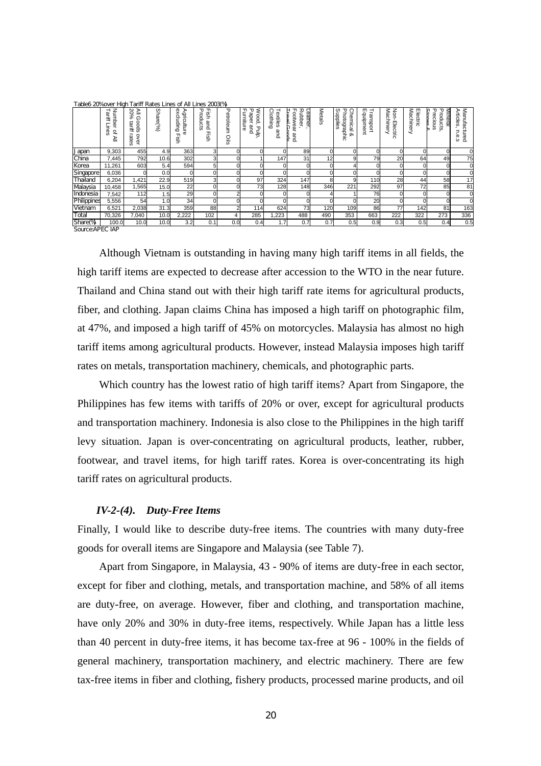| Table6 20%over High Tariff Rates Lines of All Lines 2003(%) |                                         |                                                      |         |                                             |                                  |                        |                                                |                             |                                                      |        |                                                                         |                                         |                                                        |                       |                                                     |                                                            |
|-------------------------------------------------------------|-----------------------------------------|------------------------------------------------------|---------|---------------------------------------------|----------------------------------|------------------------|------------------------------------------------|-----------------------------|------------------------------------------------------|--------|-------------------------------------------------------------------------|-----------------------------------------|--------------------------------------------------------|-----------------------|-----------------------------------------------------|------------------------------------------------------------|
|                                                             | Numb<br>Tariff<br>Φ<br>⊸<br>₽<br>ወ<br>≧ | 20%<br>≧<br>の<br>spoo<br>tariff<br>-<br>over<br>ates | Share(% | œ<br>Agriculture<br>cludin<br>$\circ$<br>gï | 물 풀<br>roducts<br>and<br>╖<br>g: | ᠊ᠣ<br>etroleum<br>oils | Furniture<br>Paper<br>Wood,<br>and<br>dip<br>d | Clothing<br>Textiles<br>and | <b>Rubber</b><br>Leather<br>Travel<br>ootwear<br>and | Metals | Supplie<br>᠊ᠣ<br>Chemical<br>इं<br>deu6o:<br><b>Qo</b><br>∍<br>$\Omega$ | Equipmen<br>⊣<br>g<br>ဖ<br>ᢦ<br>$\circ$ | ⊠a<br>Non-<br>ດ<br><del>خ</del><br>Electric<br>--<br>Φ | Machinery<br>Electric | Precious<br>ъ<br>Mineral<br><u>Senet</u><br>roducts | Manufactured<br><b>Article:</b><br>m<br>Б<br>Φ<br>$\omega$ |
| Japan                                                       | 9,303                                   | 455                                                  | 4.9     | 363                                         | 3                                |                        |                                                |                             | 89                                                   |        | $\Omega$                                                                | O.                                      |                                                        | $\Omega$              | 0l                                                  |                                                            |
| China                                                       | 7,445                                   | 792                                                  | 10.6    | 302                                         |                                  |                        |                                                | 147                         | 31                                                   | 12     | 9                                                                       | 79                                      | 20                                                     | 64                    | 49                                                  | 75                                                         |
| Korea                                                       | 11,261                                  | 603                                                  | 5.4     | 594                                         | 5                                |                        |                                                |                             | 0                                                    |        |                                                                         |                                         |                                                        |                       |                                                     | $\overline{0}$                                             |
| Singapore                                                   | 6,036                                   |                                                      | 0.0     |                                             |                                  |                        |                                                |                             |                                                      |        |                                                                         |                                         |                                                        |                       | 0                                                   |                                                            |
| Thailand                                                    | 6,204                                   | 1,421                                                | 22.9    | 519                                         |                                  |                        | 97                                             | 324                         | 147                                                  |        | 9                                                                       | 110                                     | 28                                                     | 44                    | 58                                                  | 17                                                         |
| Malaysia                                                    | 10,458                                  | 1,565                                                | 15.0    | 22                                          |                                  |                        | 73                                             | 128                         | 148                                                  | 346    | 221                                                                     | 292                                     | 97                                                     | 72                    | 85                                                  | 81                                                         |
| Indonesia                                                   | 7,542                                   | 112                                                  | 1.5     | 29                                          |                                  |                        |                                                |                             |                                                      |        |                                                                         | 76                                      |                                                        |                       |                                                     |                                                            |
| Philippines                                                 | 5,556                                   | 54                                                   | 1.0     | 34                                          |                                  |                        |                                                |                             |                                                      |        |                                                                         | 20                                      |                                                        |                       |                                                     |                                                            |
| Vietnam                                                     | 6,521                                   | 2,038                                                | 31.3    | 359                                         | 88                               |                        | 114                                            | 624                         | 73                                                   | 120    | 109                                                                     | 86                                      | 77                                                     | 142                   | 81                                                  | 163                                                        |
| Total                                                       | 70,326                                  | 7,040                                                | 10.0    | 2,222                                       | 102                              | 4                      | 285                                            | ,223                        | 488                                                  | 490    | 353                                                                     | 663                                     | 222                                                    | 322                   | 273                                                 | 336                                                        |
| Share(%)                                                    | 100.0                                   | 10.0                                                 | 10.0    | 3.2                                         | 0.1                              | 0.0                    | 0.4                                            | 1.7 <sup>1</sup>            | 0.7                                                  | 0.7    | 0.5                                                                     | 0.9                                     | 0.3                                                    | 0.5                   | 0.4                                                 | 0.5                                                        |

Source:APEC IAP

Although Vietnam is outstanding in having many high tariff items in all fields, the high tariff items are expected to decrease after accession to the WTO in the near future. Thailand and China stand out with their high tariff rate items for agricultural products, fiber, and clothing. Japan claims China has imposed a high tariff on photographic film, at 47%, and imposed a high tariff of 45% on motorcycles. Malaysia has almost no high tariff items among agricultural products. However, instead Malaysia imposes high tariff rates on metals, transportation machinery, chemicals, and photographic parts.

Which country has the lowest ratio of high tariff items? Apart from Singapore, the Philippines has few items with tariffs of 20% or over, except for agricultural products and transportation machinery. Indonesia is also close to the Philippines in the high tariff levy situation. Japan is over-concentrating on agricultural products, leather, rubber, footwear, and travel items, for high tariff rates. Korea is over-concentrating its high tariff rates on agricultural products.

#### *IV-2-(4). Duty-Free Items*

Finally, I would like to describe duty-free items. The countries with many duty-free goods for overall items are Singapore and Malaysia (see Table 7).

Apart from Singapore, in Malaysia, 43 - 90% of items are duty-free in each sector, except for fiber and clothing, metals, and transportation machine, and 58% of all items are duty-free, on average. However, fiber and clothing, and transportation machine, have only 20% and 30% in duty-free items, respectively. While Japan has a little less than 40 percent in duty-free items, it has become tax-free at 96 - 100% in the fields of general machinery, transportation machinery, and electric machinery. There are few tax-free items in fiber and clothing, fishery products, processed marine products, and oil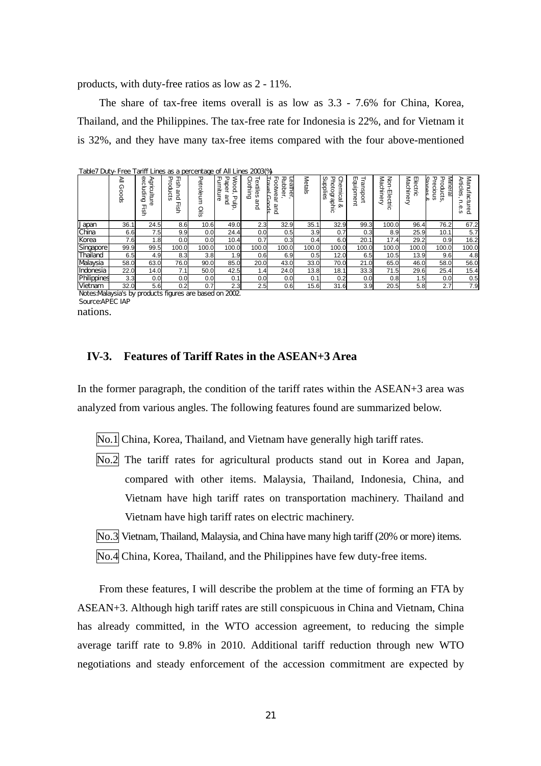products, with duty-free ratios as low as 2 - 11%.

The share of tax-free items overall is as low as 3.3 - 7.6% for China, Korea, Thailand, and the Philippines. The tax-free rate for Indonesia is 22%, and for Vietnam it is 32%, and they have many tax-free items compared with the four above-mentioned

| Table7 Duty-Free Tariff Lines as a percentage of All Lines 2003(%) |            |                                              |                                          |                        |                                                        |                                    |                                                    |               |                                                             |                                          |                                          |                       |                                                           |                                          |
|--------------------------------------------------------------------|------------|----------------------------------------------|------------------------------------------|------------------------|--------------------------------------------------------|------------------------------------|----------------------------------------------------|---------------|-------------------------------------------------------------|------------------------------------------|------------------------------------------|-----------------------|-----------------------------------------------------------|------------------------------------------|
|                                                                    | ≧<br>Goods | exclu<br>⋗<br>griculture<br>ging<br>a.<br>Bi | Ηgι<br>᠊ᠣ<br>, pol<br>c<br>ទ្ធ<br>ā<br>ې | ᠊ᠣ<br>etroleum<br>oils | <b>Mood</b><br>Paper<br>ᆩ<br>urniture<br>and<br>일<br>ਨ | Clothing<br>extil<br>Φ<br>S<br>gna | ╖<br>Rubb<br>Leather<br>Ē<br>ootwear<br>ĕĽ,<br>and | <b>Metals</b> | Supplies<br>Chemical<br>᠊ᠣ<br>hoto<br>ographic<br><b>Qo</b> | m<br>rans<br><u>فو</u><br>ᢦ<br>ğ<br>ment | Mac<br>Non-<br>m<br><b>lectric</b><br>ತಿ | Machinery<br>Electric | Mineral<br>᠊ᠣ<br>Products<br>Shanes<br>recioi<br>န္တ<br>∞ | Manufactured<br>Articles<br>Ρ<br>ወ<br>Ò. |
| Japan                                                              | 36.1       | 24.5                                         | 8.6                                      | 10.6                   | 49.0                                                   | 2.3                                | 32.9                                               | 35.1          | 32.9                                                        | 99.3                                     | 100.0                                    | 96.4                  | 76.2                                                      | 67.2                                     |
| China                                                              | 6.6        | 7.5                                          | 9.9                                      | 0.0                    | 24.4                                                   | 0.0                                | 0.5                                                | 3.9           | 0.7                                                         | 0.3                                      | 8.9                                      | 25.9                  | 10.1                                                      | 5.7                                      |
| Korea                                                              | 7.6        | .8                                           | 0.0                                      | 0.0                    | 10.4                                                   | 0.7                                | 0.3                                                | 0.4           | 6.0                                                         | 20.1                                     | 17.4                                     | 29.2                  | 0.9                                                       | 16.2                                     |
| Singapore                                                          | 99.9       | 99.5                                         | 100.0                                    | 100.0                  | 100.0                                                  | 100.0                              | 100.0                                              | 100.0         | 100.0                                                       | 100.0                                    | 100.0                                    | 100.0                 | 100.0                                                     | 100.0                                    |
| Thailand                                                           | 6.5        | 4.9                                          | 8.3                                      | 3.8                    | .9 <sup>°</sup>                                        | 0.6                                | 6.9                                                | 0.5           | 12.0                                                        | 6.5                                      | 10.5                                     | 13.9                  | 9.6                                                       | 4.8                                      |
| Malaysia                                                           | 58.0       | 63.0                                         | 76.0                                     | 90.0                   | 85.0                                                   | 20.0                               | 43.0                                               | 33.0          | 70.0                                                        | 21.0                                     | 65.0                                     | 46.0                  | 58.0                                                      | 56.0                                     |
| Indonesia                                                          | 22.0       | 14.0                                         | 7.1                                      | 50.0                   | 42.5                                                   | 1.4                                | 24.0                                               | 13.8          | 18.1                                                        | 33.3                                     | 71.5                                     | 29.6                  | 25.4                                                      | 15.4                                     |
| Philippines                                                        | 3.3        | 0.0                                          | 0.0                                      | 0.0                    | 0.1                                                    | 0.0                                | 0.0                                                | 0.1           | 0.2                                                         | 0.0                                      | 0.8                                      | 1.5                   | 0.0                                                       | 0.5                                      |
| Vietnam<br>.<br>.                                                  | 32.0       | 5.6<br>$\cdot$ $\cdot$                       | 0.2<br>$\sim$                            | 0.7                    | 2.3<br>$\sim$                                          | 2.5                                | 0.6                                                | 15.6          | 31.6                                                        | 3.9                                      | 20.5                                     | 5.8                   | 2.7                                                       | 7.9                                      |

nations. Notes:Malaysia's by products figures are based on 2002. Source:APEC IAP

## **IV-3. Features of Tariff Rates in the ASEAN+3 Area**

In the former paragraph, the condition of the tariff rates within the ASEAN+3 area was analyzed from various angles. The following features found are summarized below.

No.1 China, Korea, Thailand, and Vietnam have generally high tariff rates.

No.2 The tariff rates for agricultural products stand out in Korea and Japan, compared with other items. Malaysia, Thailand, Indonesia, China, and Vietnam have high tariff rates on transportation machinery. Thailand and Vietnam have high tariff rates on electric machinery.

No.3 Vietnam, Thailand, Malaysia, and China have many high tariff (20% or more) items.

No.4 China, Korea, Thailand, and the Philippines have few duty-free items.

From these features, I will describe the problem at the time of forming an FTA by ASEAN+3. Although high tariff rates are still conspicuous in China and Vietnam, China has already committed, in the WTO accession agreement, to reducing the simple average tariff rate to 9.8% in 2010. Additional tariff reduction through new WTO negotiations and steady enforcement of the accession commitment are expected by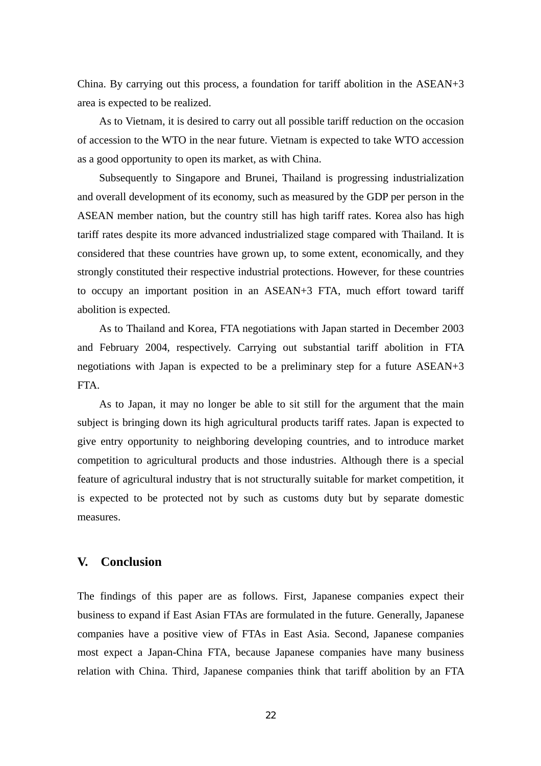China. By carrying out this process, a foundation for tariff abolition in the ASEAN+3 area is expected to be realized.

As to Vietnam, it is desired to carry out all possible tariff reduction on the occasion of accession to the WTO in the near future. Vietnam is expected to take WTO accession as a good opportunity to open its market, as with China.

Subsequently to Singapore and Brunei, Thailand is progressing industrialization and overall development of its economy, such as measured by the GDP per person in the ASEAN member nation, but the country still has high tariff rates. Korea also has high tariff rates despite its more advanced industrialized stage compared with Thailand. It is considered that these countries have grown up, to some extent, economically, and they strongly constituted their respective industrial protections. However, for these countries to occupy an important position in an ASEAN+3 FTA, much effort toward tariff abolition is expected.

As to Thailand and Korea, FTA negotiations with Japan started in December 2003 and February 2004, respectively. Carrying out substantial tariff abolition in FTA negotiations with Japan is expected to be a preliminary step for a future ASEAN+3 FTA.

As to Japan, it may no longer be able to sit still for the argument that the main subject is bringing down its high agricultural products tariff rates. Japan is expected to give entry opportunity to neighboring developing countries, and to introduce market competition to agricultural products and those industries. Although there is a special feature of agricultural industry that is not structurally suitable for market competition, it is expected to be protected not by such as customs duty but by separate domestic measures.

## **V. Conclusion**

The findings of this paper are as follows. First, Japanese companies expect their business to expand if East Asian FTAs are formulated in the future. Generally, Japanese companies have a positive view of FTAs in East Asia. Second, Japanese companies most expect a Japan-China FTA, because Japanese companies have many business relation with China. Third, Japanese companies think that tariff abolition by an FTA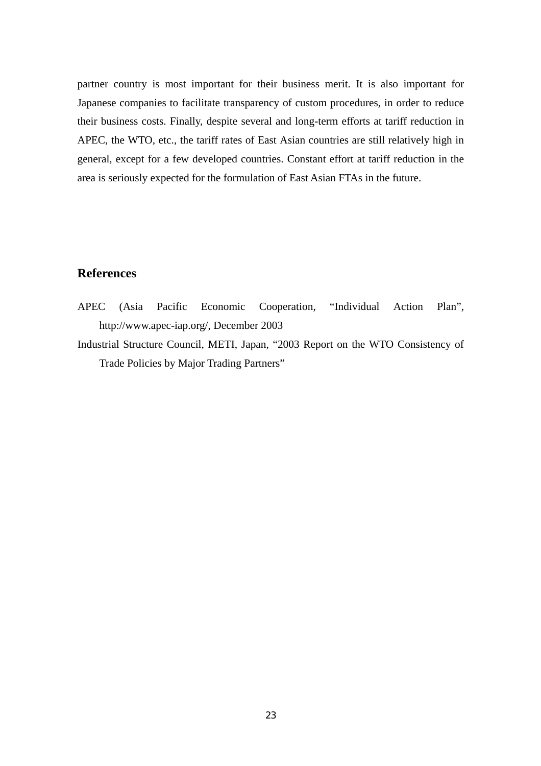partner country is most important for their business merit. It is also important for Japanese companies to facilitate transparency of custom procedures, in order to reduce their business costs. Finally, despite several and long-term efforts at tariff reduction in APEC, the WTO, etc., the tariff rates of East Asian countries are still relatively high in general, except for a few developed countries. Constant effort at tariff reduction in the area is seriously expected for the formulation of East Asian FTAs in the future.

## **References**

- APEC (Asia Pacific Economic Cooperation, "Individual Action Plan", http://www.apec-iap.org/, December 2003
- Industrial Structure Council, METI, Japan, "2003 Report on the WTO Consistency of Trade Policies by Major Trading Partners"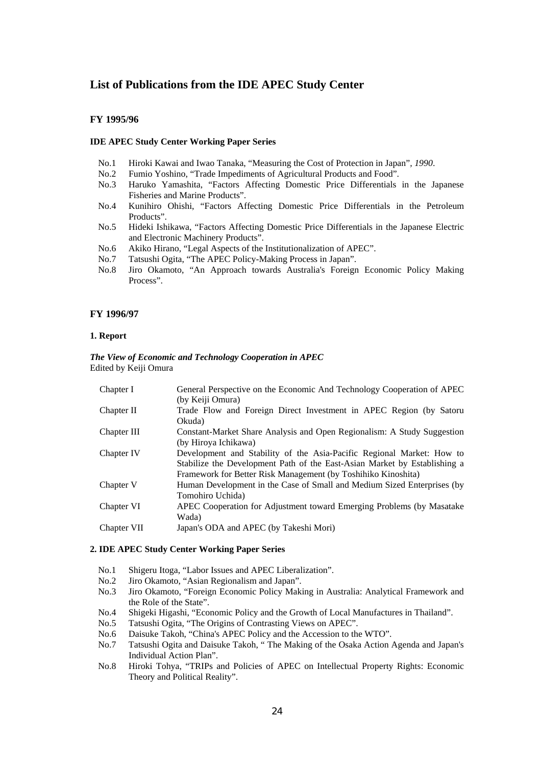## **List of Publications from the IDE APEC Study Center**

#### **FY 1995/96**

#### **IDE APEC Study Center Working Paper Series**

- No.1 Hiroki Kawai and Iwao Tanaka, "Measuring the Cost of Protection in Japan"*, 1990*.
- No.2 Fumio Yoshino, "Trade Impediments of Agricultural Products and Food".
- No.3 Haruko Yamashita, "Factors Affecting Domestic Price Differentials in the Japanese Fisheries and Marine Products".
- No.4 Kunihiro Ohishi, "Factors Affecting Domestic Price Differentials in the Petroleum Products".
- No.5 Hideki Ishikawa, "Factors Affecting Domestic Price Differentials in the Japanese Electric and Electronic Machinery Products".
- No.6 Akiko Hirano, "Legal Aspects of the Institutionalization of APEC".
- No.7 Tatsushi Ogita, "The APEC Policy-Making Process in Japan".
- No.8 Jiro Okamoto, "An Approach towards Australia's Foreign Economic Policy Making Process".

#### **FY 1996/97**

#### **1. Report**

#### *The View of Economic and Technology Cooperation in APEC*  Edited by Keiji Omura

| Chapter I   | General Perspective on the Economic And Technology Cooperation of APEC    |
|-------------|---------------------------------------------------------------------------|
|             | (by Keiji Omura)                                                          |
| Chapter II  | Trade Flow and Foreign Direct Investment in APEC Region (by Satoru        |
|             | Okuda)                                                                    |
| Chapter III | Constant-Market Share Analysis and Open Regionalism: A Study Suggestion   |
|             | (by Hiroya Ichikawa)                                                      |
| Chapter IV  | Development and Stability of the Asia-Pacific Regional Market: How to     |
|             | Stabilize the Development Path of the East-Asian Market by Establishing a |
|             | Framework for Better Risk Management (by Toshihiko Kinoshita)             |
| Chapter V   | Human Development in the Case of Small and Medium Sized Enterprises (by   |
|             | Tomohiro Uchida)                                                          |
| Chapter VI  | APEC Cooperation for Adjustment toward Emerging Problems (by Masatake     |
|             | Wada)                                                                     |
| Chapter VII | Japan's ODA and APEC (by Takeshi Mori)                                    |
|             |                                                                           |

#### **2. IDE APEC Study Center Working Paper Series**

- No.1 Shigeru Itoga, "Labor Issues and APEC Liberalization".
- No.2 Jiro Okamoto, "Asian Regionalism and Japan".
- No.3 Jiro Okamoto, "Foreign Economic Policy Making in Australia: Analytical Framework and the Role of the State".
- No.4 Shigeki Higashi, "Economic Policy and the Growth of Local Manufactures in Thailand".
- No.5 Tatsushi Ogita, "The Origins of Contrasting Views on APEC".
- No.6 Daisuke Takoh, "China's APEC Policy and the Accession to the WTO".
- No.7 Tatsushi Ogita and Daisuke Takoh, " The Making of the Osaka Action Agenda and Japan's Individual Action Plan".
- No.8 Hiroki Tohya, "TRIPs and Policies of APEC on Intellectual Property Rights: Economic Theory and Political Reality".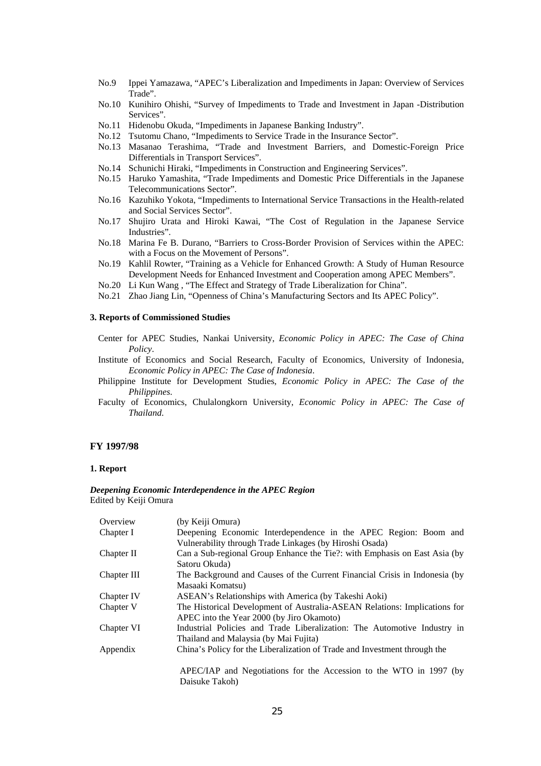- No.9 Ippei Yamazawa, "APEC's Liberalization and Impediments in Japan: Overview of Services Trade".
- No.10 Kunihiro Ohishi, "Survey of Impediments to Trade and Investment in Japan -Distribution Services".
- No.11 Hidenobu Okuda, "Impediments in Japanese Banking Industry".
- No.12 Tsutomu Chano, "Impediments to Service Trade in the Insurance Sector".
- No.13 Masanao Terashima, "Trade and Investment Barriers, and Domestic-Foreign Price Differentials in Transport Services".
- No.14 Schunichi Hiraki, "Impediments in Construction and Engineering Services".
- No.15 Haruko Yamashita, "Trade Impediments and Domestic Price Differentials in the Japanese Telecommunications Sector".
- No.16 Kazuhiko Yokota, "Impediments to International Service Transactions in the Health-related and Social Services Sector".
- No.17 Shujiro Urata and Hiroki Kawai, "The Cost of Regulation in the Japanese Service Industries".
- No.18 Marina Fe B. Durano, "Barriers to Cross-Border Provision of Services within the APEC: with a Focus on the Movement of Persons".
- No.19 Kahlil Rowter, "Training as a Vehicle for Enhanced Growth: A Study of Human Resource Development Needs for Enhanced Investment and Cooperation among APEC Members".
- No.20 Li Kun Wang , "The Effect and Strategy of Trade Liberalization for China".
- No.21 Zhao Jiang Lin, "Openness of China's Manufacturing Sectors and Its APEC Policy".

### **3. Reports of Commissioned Studies**

- Center for APEC Studies, Nankai University, *Economic Policy in APEC: The Case of China Policy*.
- Institute of Economics and Social Research, Faculty of Economics, University of Indonesia, *Economic Policy in APEC: The Case of Indonesia*.
- Philippine Institute for Development Studies, *Economic Policy in APEC: The Case of the Philippines*.
- Faculty of Economics, Chulalongkorn University, *Economic Policy in APEC: The Case of Thailand*.

#### **FY 1997/98**

#### **1. Report**

#### *Deepening Economic Interdependence in the APEC Region*  Edited by Keiji Omura

| Overview    | (by Keiji Omura)                                                                     |
|-------------|--------------------------------------------------------------------------------------|
| Chapter I   | Deepening Economic Interdependence in the APEC Region: Boom and                      |
|             | Vulnerability through Trade Linkages (by Hiroshi Osada)                              |
| Chapter II  | Can a Sub-regional Group Enhance the Tie?: with Emphasis on East Asia (by            |
|             | Satoru Okuda)                                                                        |
| Chapter III | The Background and Causes of the Current Financial Crisis in Indonesia (by           |
|             | Masaaki Komatsu)                                                                     |
| Chapter IV  | ASEAN's Relationships with America (by Takeshi Aoki)                                 |
| Chapter V   | The Historical Development of Australia-ASEAN Relations: Implications for            |
|             | APEC into the Year 2000 (by Jiro Okamoto)                                            |
| Chapter VI  | Industrial Policies and Trade Liberalization: The Automotive Industry in             |
|             | Thailand and Malaysia (by Mai Fujita)                                                |
| Appendix    | China's Policy for the Liberalization of Trade and Investment through the            |
|             |                                                                                      |
|             |                                                                                      |
|             | APEC/IAP and Negotiations for the Accession to the WTO in 1997 (by<br>Daisuke Takoh) |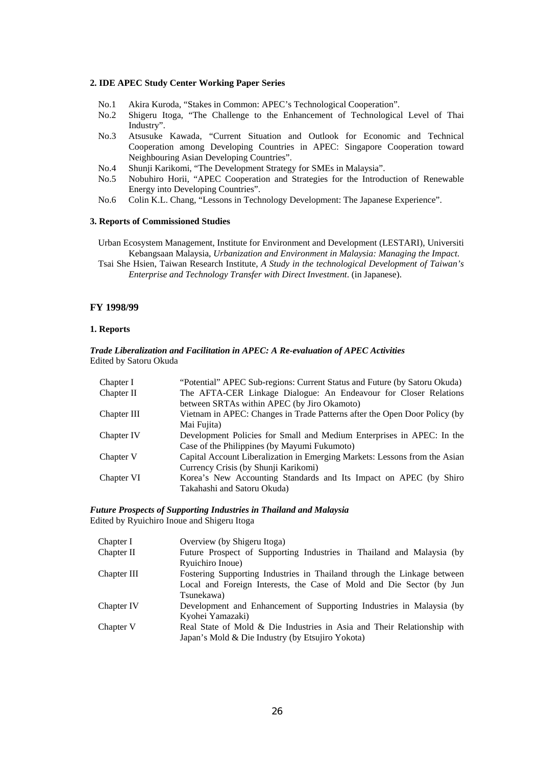#### **2. IDE APEC Study Center Working Paper Series**

- No.1 Akira Kuroda, "Stakes in Common: APEC's Technological Cooperation".
- No.2 Shigeru Itoga, "The Challenge to the Enhancement of Technological Level of Thai Industry".
- No.3 Atsusuke Kawada, "Current Situation and Outlook for Economic and Technical Cooperation among Developing Countries in APEC: Singapore Cooperation toward Neighbouring Asian Developing Countries".
- No.4 Shunji Karikomi, "The Development Strategy for SMEs in Malaysia".
- No.5 Nobuhiro Horii, "APEC Cooperation and Strategies for the Introduction of Renewable Energy into Developing Countries".
- No.6 Colin K.L. Chang, "Lessons in Technology Development: The Japanese Experience".

#### **3. Reports of Commissioned Studies**

Urban Ecosystem Management, Institute for Environment and Development (LESTARI), Universiti Kebangsaan Malaysia, *Urbanization and Environment in Malaysia: Managing the Impact*.

Tsai She Hsien, Taiwan Research Institute, *A Study in the technological Development of Taiwan's Enterprise and Technology Transfer with Direct Investment*. (in Japanese).

#### **FY 1998/99**

#### **1. Reports**

#### *Trade Liberalization and Facilitation in APEC: A Re-evaluation of APEC Activities*  Edited by Satoru Okuda

| Chapter I   | "Potential" APEC Sub-regions: Current Status and Future (by Satoru Okuda)  |
|-------------|----------------------------------------------------------------------------|
| Chapter II  | The AFTA-CER Linkage Dialogue: An Endeavour for Closer Relations           |
|             | between SRTAs within APEC (by Jiro Okamoto)                                |
| Chapter III | Vietnam in APEC: Changes in Trade Patterns after the Open Door Policy (by  |
|             | Mai Fujita)                                                                |
| Chapter IV  | Development Policies for Small and Medium Enterprises in APEC: In the      |
|             | Case of the Philippines (by Mayumi Fukumoto)                               |
| Chapter V   | Capital Account Liberalization in Emerging Markets: Lessons from the Asian |
|             | Currency Crisis (by Shunji Karikomi)                                       |
| Chapter VI  | Korea's New Accounting Standards and Its Impact on APEC (by Shiro          |
|             | Takahashi and Satoru Okuda)                                                |

#### *Future Prospects of Supporting Industries in Thailand and Malaysia*  Edited by Ryuichiro Inoue and Shigeru Itoga

| Chapter I   | Overview (by Shigeru Itoga)                                             |
|-------------|-------------------------------------------------------------------------|
| Chapter II  | Future Prospect of Supporting Industries in Thailand and Malaysia (by   |
|             | Ryuichiro Inoue)                                                        |
| Chapter III | Fostering Supporting Industries in Thailand through the Linkage between |
|             | Local and Foreign Interests, the Case of Mold and Die Sector (by Jun    |
|             | Tsunekawa)                                                              |
| Chapter IV  | Development and Enhancement of Supporting Industries in Malaysia (by    |
|             | Kyohei Yamazaki)                                                        |
| Chapter V   | Real State of Mold & Die Industries in Asia and Their Relationship with |
|             | Japan's Mold & Die Industry (by Etsujiro Yokota)                        |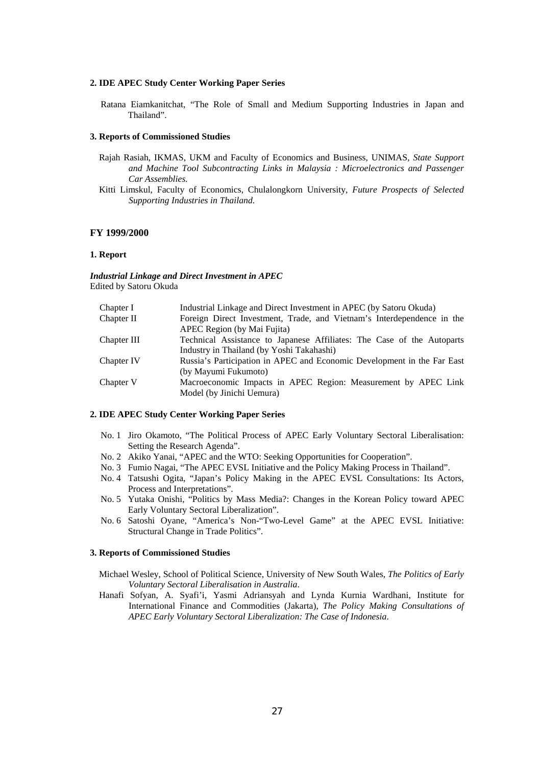#### **2. IDE APEC Study Center Working Paper Series**

Ratana Eiamkanitchat, "The Role of Small and Medium Supporting Industries in Japan and Thailand".

#### **3. Reports of Commissioned Studies**

- Rajah Rasiah, IKMAS, UKM and Faculty of Economics and Business, UNIMAS*, State Support and Machine Tool Subcontracting Links in Malaysia : Microelectronics and Passenger Car Assemblies.*
- Kitti Limskul, Faculty of Economics, Chulalongkorn University*, Future Prospects of Selected Supporting Industries in Thailand.*

#### **FY 1999/2000**

#### **1. Report**

*Industrial Linkage and Direct Investment in APEC*  Edited by Satoru Okuda

| Chapter I   | Industrial Linkage and Direct Investment in APEC (by Satoru Okuda)      |
|-------------|-------------------------------------------------------------------------|
| Chapter II  | Foreign Direct Investment, Trade, and Vietnam's Interdependence in the  |
|             | APEC Region (by Mai Fujita)                                             |
| Chapter III | Technical Assistance to Japanese Affiliates: The Case of the Autoparts  |
|             | Industry in Thailand (by Yoshi Takahashi)                               |
| Chapter IV  | Russia's Participation in APEC and Economic Development in the Far East |
|             | (by Mayumi Fukumoto)                                                    |
| Chapter V   | Macroeconomic Impacts in APEC Region: Measurement by APEC Link          |
|             | Model (by Jinichi Uemura)                                               |
|             |                                                                         |

#### **2. IDE APEC Study Center Working Paper Series**

- No. 1 Jiro Okamoto, "The Political Process of APEC Early Voluntary Sectoral Liberalisation: Setting the Research Agenda".
- No. 2 Akiko Yanai, "APEC and the WTO: Seeking Opportunities for Cooperation".
- No. 3 Fumio Nagai, "The APEC EVSL Initiative and the Policy Making Process in Thailand".
- No. 4 Tatsushi Ogita, "Japan's Policy Making in the APEC EVSL Consultations: Its Actors, Process and Interpretations".
- No. 5 Yutaka Onishi, "Politics by Mass Media?: Changes in the Korean Policy toward APEC Early Voluntary Sectoral Liberalization".
- No. 6 Satoshi Oyane, "America's Non-"Two-Level Game" at the APEC EVSL Initiative: Structural Change in Trade Politics".

#### **3. Reports of Commissioned Studies**

- Michael Wesley, School of Political Science, University of New South Wales, *The Politics of Early Voluntary Sectoral Liberalisation in Australia*.
- Hanafi Sofyan, A. Syafi'i, Yasmi Adriansyah and Lynda Kurnia Wardhani, Institute for International Finance and Commodities (Jakarta), *The Policy Making Consultations of APEC Early Voluntary Sectoral Liberalization: The Case of Indonesia*.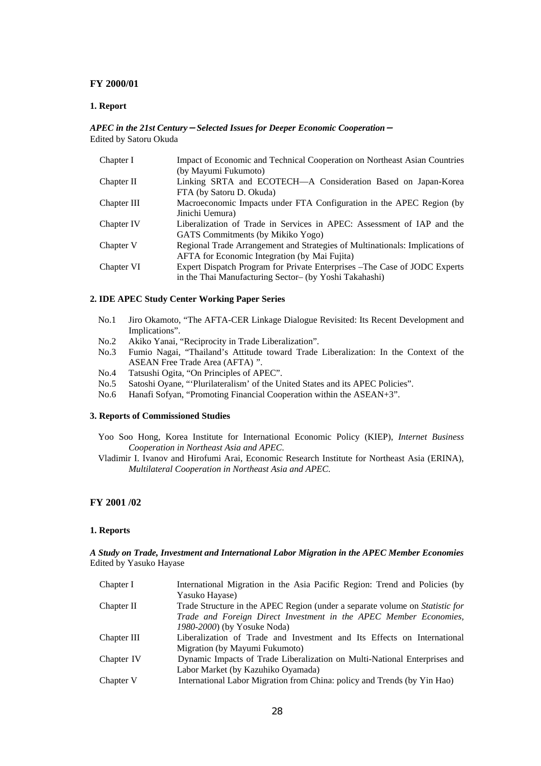#### **FY 2000/01**

#### **1. Report**

#### *APEC in the 21st Century*-*Selected Issues for Deeper Economic Cooperation*- Edited by Satoru Okuda

| Chapter I   | Impact of Economic and Technical Cooperation on Northeast Asian Countries    |
|-------------|------------------------------------------------------------------------------|
|             | (by Mayumi Fukumoto)                                                         |
| Chapter II  | Linking SRTA and ECOTECH-A Consideration Based on Japan-Korea                |
|             | FTA (by Satoru D. Okuda)                                                     |
| Chapter III | Macroeconomic Impacts under FTA Configuration in the APEC Region (by         |
|             | Jinichi Uemura)                                                              |
| Chapter IV  | Liberalization of Trade in Services in APEC: Assessment of IAP and the       |
|             | GATS Commitments (by Mikiko Yogo)                                            |
| Chapter V   | Regional Trade Arrangement and Strategies of Multinationals: Implications of |
|             | <b>AFTA</b> for Economic Integration (by Mai Fujita)                         |
| Chapter VI  | Expert Dispatch Program for Private Enterprises – The Case of JODC Experts   |
|             | in the Thai Manufacturing Sector- (by Yoshi Takahashi)                       |

#### **2. IDE APEC Study Center Working Paper Series**

- No.1 Jiro Okamoto, "The AFTA-CER Linkage Dialogue Revisited: Its Recent Development and Implications".
- No.2 Akiko Yanai, "Reciprocity in Trade Liberalization".
- No.3 Fumio Nagai, "Thailand's Attitude toward Trade Liberalization: In the Context of the ASEAN Free Trade Area (AFTA) ".
- No.4 Tatsushi Ogita, "On Principles of APEC".
- No.5 Satoshi Oyane, "'Plurilateralism' of the United States and its APEC Policies".
- No.6 Hanafi Sofyan, "Promoting Financial Cooperation within the ASEAN+3".

#### **3. Reports of Commissioned Studies**

- Yoo Soo Hong, Korea Institute for International Economic Policy (KIEP), *Internet Business Cooperation in Northeast Asia and APEC*.
- Vladimir I. Ivanov and Hirofumi Arai, Economic Research Institute for Northeast Asia (ERINA), *Multilateral Cooperation in Northeast Asia and APEC*.

### **FY 2001 /02**

#### **1. Reports**

#### *A Study on Trade, Investment and International Labor Migration in the APEC Member Economies*  Edited by Yasuko Hayase

| Chapter I   | International Migration in the Asia Pacific Region: Trend and Policies (by   |
|-------------|------------------------------------------------------------------------------|
|             | Yasuko Hayase)                                                               |
| Chapter II  | Trade Structure in the APEC Region (under a separate volume on Statistic for |
|             | Trade and Foreign Direct Investment in the APEC Member Economies,            |
|             | 1980-2000) (by Yosuke Noda)                                                  |
| Chapter III | Liberalization of Trade and Investment and Its Effects on International      |
|             | Migration (by Mayumi Fukumoto)                                               |
| Chapter IV  | Dynamic Impacts of Trade Liberalization on Multi-National Enterprises and    |
|             | Labor Market (by Kazuhiko Oyamada)                                           |
| Chapter V   | International Labor Migration from China: policy and Trends (by Yin Hao)     |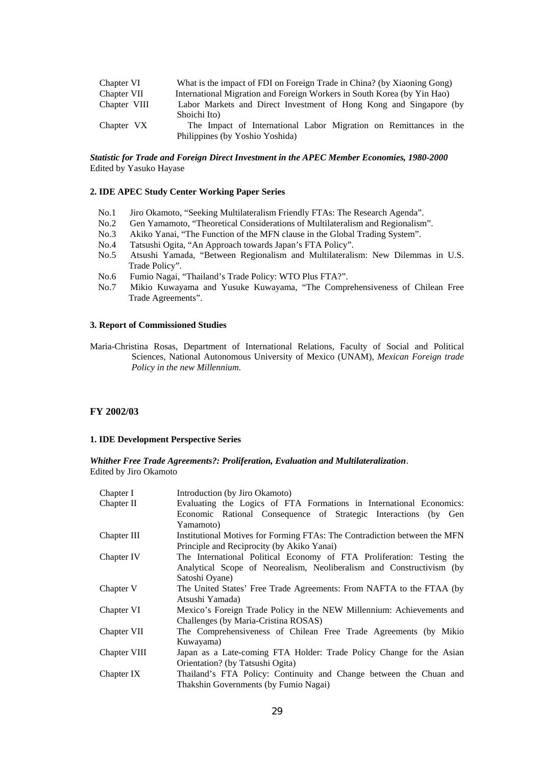| Chapter VI   | What is the impact of FDI on Foreign Trade in China? (by Xiaoning Gong) |
|--------------|-------------------------------------------------------------------------|
| Chapter VII  | International Migration and Foreign Workers in South Korea (by Yin Hao) |
| Chapter VIII | Labor Markets and Direct Investment of Hong Kong and Singapore (by      |
|              | Shoichi Ito)                                                            |
| Chapter VX   | The Impact of International Labor Migration on Remittances in the       |
|              | Philippines (by Yoshio Yoshida)                                         |

#### *Statistic for Trade and Foreign Direct Investment in the APEC Member Economies, 1980-2000*  Edited by Yasuko Hayase

#### **2. IDE APEC Study Center Working Paper Series**

- No.1 Jiro Okamoto, "Seeking Multilateralism Friendly FTAs: The Research Agenda".
- No.2 Gen Yamamoto, "Theoretical Considerations of Multilateralism and Regionalism".
- No.3 Akiko Yanai, "The Function of the MFN clause in the Global Trading System".
- No.4 Tatsushi Ogita, "An Approach towards Japan's FTA Policy".
- No.5 Atsushi Yamada, "Between Regionalism and Multilateralism: New Dilemmas in U.S. Trade Policy".
- No.6 Fumio Nagai, "Thailand's Trade Policy: WTO Plus FTA?".
- No.7 Mikio Kuwayama and Yusuke Kuwayama, "The Comprehensiveness of Chilean Free Trade Agreements".

#### **3. Report of Commissioned Studies**

Maria-Christina Rosas, Department of International Relations, Faculty of Social and Political Sciences, National Autonomous University of Mexico (UNAM), *Mexican Foreign trade Policy in the new Millennium.*

#### **FY 2002/03**

#### **1. IDE Development Perspective Series**

*Whither Free Trade Agreements?: Proliferation, Evaluation and Multilateralization*. Edited by Jiro Okamoto

| Chapter I    | Introduction (by Jiro Okamoto)                                            |
|--------------|---------------------------------------------------------------------------|
| Chapter II   | Evaluating the Logics of FTA Formations in International Economics:       |
|              | Economic Rational Consequence of Strategic Interactions (by Gen           |
|              | Yamamoto)                                                                 |
| Chapter III  | Institutional Motives for Forming FTAs: The Contradiction between the MFN |
|              | Principle and Reciprocity (by Akiko Yanai)                                |
| Chapter IV   | The International Political Economy of FTA Proliferation: Testing the     |
|              | Analytical Scope of Neorealism, Neoliberalism and Constructivism (by      |
|              | Satoshi Oyane)                                                            |
| Chapter V    | The United States' Free Trade Agreements: From NAFTA to the FTAA (by      |
|              | Atsushi Yamada)                                                           |
| Chapter VI   | Mexico's Foreign Trade Policy in the NEW Millennium: Achievements and     |
|              | Challenges (by Maria-Cristina ROSAS)                                      |
| Chapter VII  | The Comprehensiveness of Chilean Free Trade Agreements (by Mikio          |
|              | Kuwayama)                                                                 |
| Chapter VIII | Japan as a Late-coming FTA Holder: Trade Policy Change for the Asian      |
|              | Orientation? (by Tatsushi Ogita)                                          |
| Chapter IX   | Thailand's FTA Policy: Continuity and Change between the Chuan and        |
|              | Thakshin Governments (by Fumio Nagai)                                     |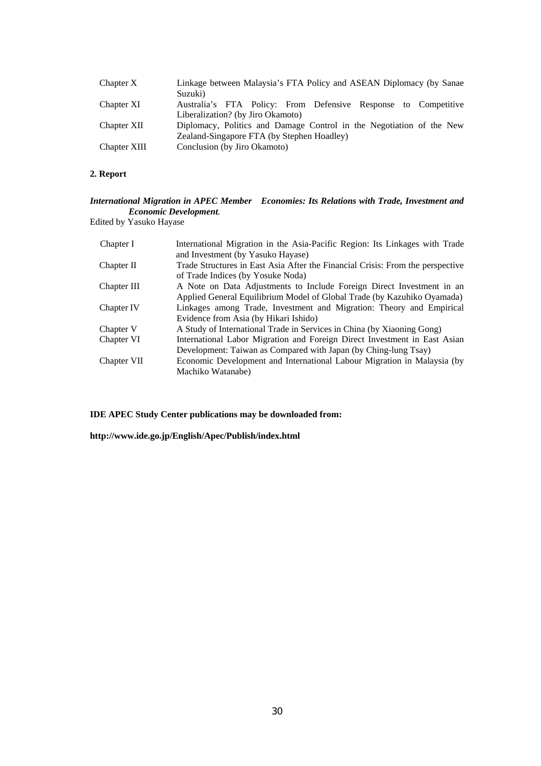| Chapter X    | Linkage between Malaysia's FTA Policy and ASEAN Diplomacy (by Sanae<br>Suzuki)                      |
|--------------|-----------------------------------------------------------------------------------------------------|
| Chapter XI   | Australia's FTA Policy: From Defensive Response to Competitive<br>Liberalization? (by Jiro Okamoto) |
| Chapter XII  | Diplomacy, Politics and Damage Control in the Negotiation of the New                                |
|              | Zealand-Singapore FTA (by Stephen Hoadley)                                                          |
| Chapter XIII | Conclusion (by Jiro Okamoto)                                                                        |

### **2. Report**

### *International Migration in APEC Member Economies: Its Relations with Trade, Investment and Economic Development.*

Edited by Yasuko Hayase

| Chapter I   | International Migration in the Asia-Pacific Region: Its Linkages with Trade    |
|-------------|--------------------------------------------------------------------------------|
|             | and Investment (by Yasuko Hayase)                                              |
| Chapter II  | Trade Structures in East Asia After the Financial Crisis: From the perspective |
|             | of Trade Indices (by Yosuke Noda)                                              |
| Chapter III | A Note on Data Adjustments to Include Foreign Direct Investment in an          |
|             | Applied General Equilibrium Model of Global Trade (by Kazuhiko Oyamada)        |
| Chapter IV  | Linkages among Trade, Investment and Migration: Theory and Empirical           |
|             | Evidence from Asia (by Hikari Ishido)                                          |
| Chapter V   | A Study of International Trade in Services in China (by Xiaoning Gong)         |
| Chapter VI  | International Labor Migration and Foreign Direct Investment in East Asian      |
|             | Development: Taiwan as Compared with Japan (by Ching-lung Tsay)                |
| Chapter VII | Economic Development and International Labour Migration in Malaysia (by        |
|             | Machiko Watanabe)                                                              |

**IDE APEC Study Center publications may be downloaded from:** 

**http://www.ide.go.jp/English/Apec/Publish/index.html**